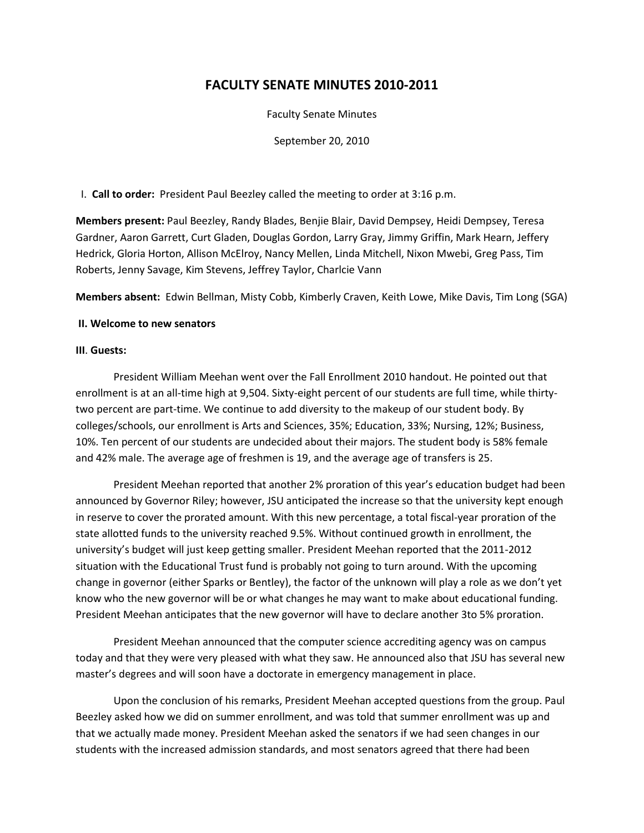# **FACULTY SENATE MINUTES 2010-2011**

Faculty Senate Minutes

September 20, 2010

I. **Call to order:** President Paul Beezley called the meeting to order at 3:16 p.m.

**Members present:** Paul Beezley, Randy Blades, Benjie Blair, David Dempsey, Heidi Dempsey, Teresa Gardner, Aaron Garrett, Curt Gladen, Douglas Gordon, Larry Gray, Jimmy Griffin, Mark Hearn, Jeffery Hedrick, Gloria Horton, Allison McElroy, Nancy Mellen, Linda Mitchell, Nixon Mwebi, Greg Pass, Tim Roberts, Jenny Savage, Kim Stevens, Jeffrey Taylor, Charlcie Vann

**Members absent:** Edwin Bellman, Misty Cobb, Kimberly Craven, Keith Lowe, Mike Davis, Tim Long (SGA)

#### **II. Welcome to new senators**

#### **III**. **Guests:**

President William Meehan went over the Fall Enrollment 2010 handout. He pointed out that enrollment is at an all-time high at 9,504. Sixty-eight percent of our students are full time, while thirtytwo percent are part-time. We continue to add diversity to the makeup of our student body. By colleges/schools, our enrollment is Arts and Sciences, 35%; Education, 33%; Nursing, 12%; Business, 10%. Ten percent of our students are undecided about their majors. The student body is 58% female and 42% male. The average age of freshmen is 19, and the average age of transfers is 25.

President Meehan reported that another 2% proration of this year's education budget had been announced by Governor Riley; however, JSU anticipated the increase so that the university kept enough in reserve to cover the prorated amount. With this new percentage, a total fiscal-year proration of the state allotted funds to the university reached 9.5%. Without continued growth in enrollment, the university's budget will just keep getting smaller. President Meehan reported that the 2011-2012 situation with the Educational Trust fund is probably not going to turn around. With the upcoming change in governor (either Sparks or Bentley), the factor of the unknown will play a role as we don't yet know who the new governor will be or what changes he may want to make about educational funding. President Meehan anticipates that the new governor will have to declare another 3to 5% proration.

President Meehan announced that the computer science accrediting agency was on campus today and that they were very pleased with what they saw. He announced also that JSU has several new master's degrees and will soon have a doctorate in emergency management in place.

Upon the conclusion of his remarks, President Meehan accepted questions from the group. Paul Beezley asked how we did on summer enrollment, and was told that summer enrollment was up and that we actually made money. President Meehan asked the senators if we had seen changes in our students with the increased admission standards, and most senators agreed that there had been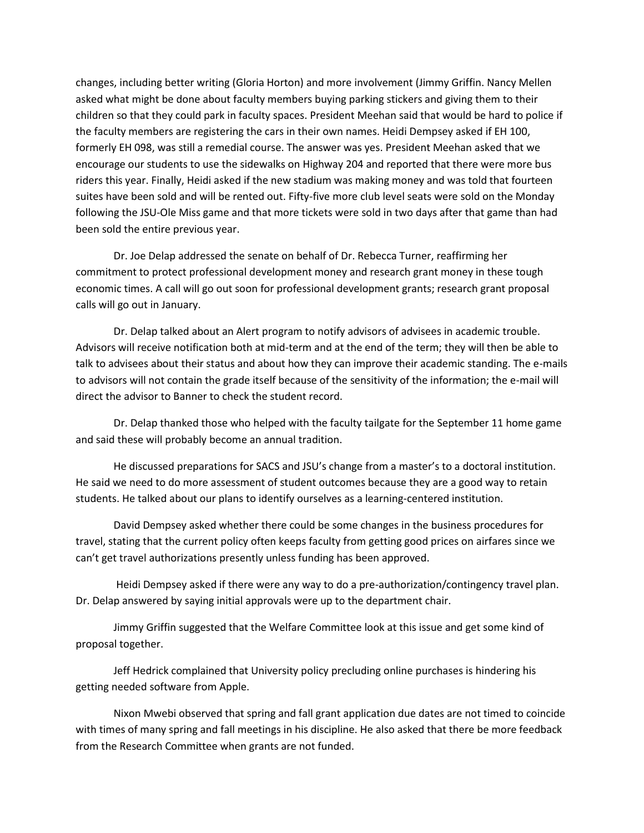changes, including better writing (Gloria Horton) and more involvement (Jimmy Griffin. Nancy Mellen asked what might be done about faculty members buying parking stickers and giving them to their children so that they could park in faculty spaces. President Meehan said that would be hard to police if the faculty members are registering the cars in their own names. Heidi Dempsey asked if EH 100, formerly EH 098, was still a remedial course. The answer was yes. President Meehan asked that we encourage our students to use the sidewalks on Highway 204 and reported that there were more bus riders this year. Finally, Heidi asked if the new stadium was making money and was told that fourteen suites have been sold and will be rented out. Fifty-five more club level seats were sold on the Monday following the JSU-Ole Miss game and that more tickets were sold in two days after that game than had been sold the entire previous year.

Dr. Joe Delap addressed the senate on behalf of Dr. Rebecca Turner, reaffirming her commitment to protect professional development money and research grant money in these tough economic times. A call will go out soon for professional development grants; research grant proposal calls will go out in January.

Dr. Delap talked about an Alert program to notify advisors of advisees in academic trouble. Advisors will receive notification both at mid-term and at the end of the term; they will then be able to talk to advisees about their status and about how they can improve their academic standing. The e-mails to advisors will not contain the grade itself because of the sensitivity of the information; the e-mail will direct the advisor to Banner to check the student record.

Dr. Delap thanked those who helped with the faculty tailgate for the September 11 home game and said these will probably become an annual tradition.

He discussed preparations for SACS and JSU's change from a master's to a doctoral institution. He said we need to do more assessment of student outcomes because they are a good way to retain students. He talked about our plans to identify ourselves as a learning-centered institution.

David Dempsey asked whether there could be some changes in the business procedures for travel, stating that the current policy often keeps faculty from getting good prices on airfares since we can't get travel authorizations presently unless funding has been approved.

Heidi Dempsey asked if there were any way to do a pre-authorization/contingency travel plan. Dr. Delap answered by saying initial approvals were up to the department chair.

Jimmy Griffin suggested that the Welfare Committee look at this issue and get some kind of proposal together.

Jeff Hedrick complained that University policy precluding online purchases is hindering his getting needed software from Apple.

Nixon Mwebi observed that spring and fall grant application due dates are not timed to coincide with times of many spring and fall meetings in his discipline. He also asked that there be more feedback from the Research Committee when grants are not funded.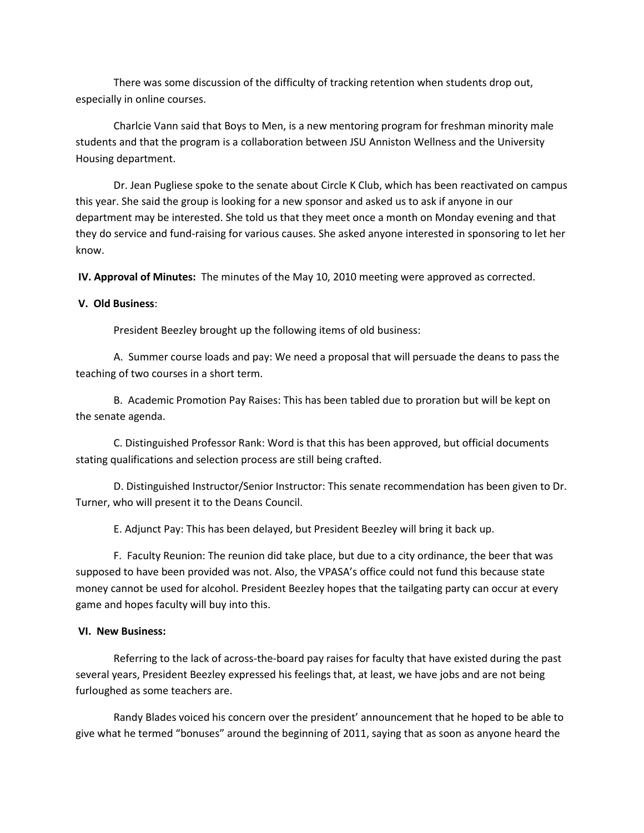There was some discussion of the difficulty of tracking retention when students drop out, especially in online courses.

Charlcie Vann said that Boys to Men, is a new mentoring program for freshman minority male students and that the program is a collaboration between JSU Anniston Wellness and the University Housing department.

Dr. Jean Pugliese spoke to the senate about Circle K Club, which has been reactivated on campus this year. She said the group is looking for a new sponsor and asked us to ask if anyone in our department may be interested. She told us that they meet once a month on Monday evening and that they do service and fund-raising for various causes. She asked anyone interested in sponsoring to let her know.

**IV. Approval of Minutes:** The minutes of the May 10, 2010 meeting were approved as corrected.

#### **V. Old Business**:

President Beezley brought up the following items of old business:

A. Summer course loads and pay: We need a proposal that will persuade the deans to pass the teaching of two courses in a short term.

B. Academic Promotion Pay Raises: This has been tabled due to proration but will be kept on the senate agenda.

C. Distinguished Professor Rank: Word is that this has been approved, but official documents stating qualifications and selection process are still being crafted.

D. Distinguished Instructor/Senior Instructor: This senate recommendation has been given to Dr. Turner, who will present it to the Deans Council.

E. Adjunct Pay: This has been delayed, but President Beezley will bring it back up.

F. Faculty Reunion: The reunion did take place, but due to a city ordinance, the beer that was supposed to have been provided was not. Also, the VPASA's office could not fund this because state money cannot be used for alcohol. President Beezley hopes that the tailgating party can occur at every game and hopes faculty will buy into this.

#### **VI. New Business:**

Referring to the lack of across-the-board pay raises for faculty that have existed during the past several years, President Beezley expressed his feelings that, at least, we have jobs and are not being furloughed as some teachers are.

Randy Blades voiced his concern over the president' announcement that he hoped to be able to give what he termed "bonuses" around the beginning of 2011, saying that as soon as anyone heard the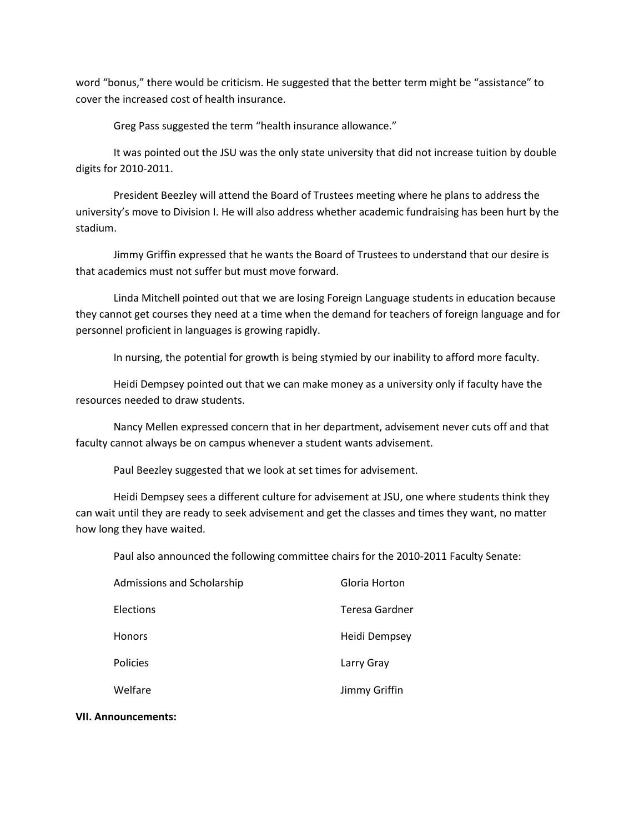word "bonus," there would be criticism. He suggested that the better term might be "assistance" to cover the increased cost of health insurance.

Greg Pass suggested the term "health insurance allowance."

It was pointed out the JSU was the only state university that did not increase tuition by double digits for 2010-2011.

President Beezley will attend the Board of Trustees meeting where he plans to address the university's move to Division I. He will also address whether academic fundraising has been hurt by the stadium.

Jimmy Griffin expressed that he wants the Board of Trustees to understand that our desire is that academics must not suffer but must move forward.

Linda Mitchell pointed out that we are losing Foreign Language students in education because they cannot get courses they need at a time when the demand for teachers of foreign language and for personnel proficient in languages is growing rapidly.

In nursing, the potential for growth is being stymied by our inability to afford more faculty.

Heidi Dempsey pointed out that we can make money as a university only if faculty have the resources needed to draw students.

Nancy Mellen expressed concern that in her department, advisement never cuts off and that faculty cannot always be on campus whenever a student wants advisement.

Paul Beezley suggested that we look at set times for advisement.

Heidi Dempsey sees a different culture for advisement at JSU, one where students think they can wait until they are ready to seek advisement and get the classes and times they want, no matter how long they have waited.

Paul also announced the following committee chairs for the 2010-2011 Faculty Senate:

| Admissions and Scholarship | Gloria Horton  |
|----------------------------|----------------|
| Elections                  | Teresa Gardner |
| <b>Honors</b>              | Heidi Dempsey  |
| <b>Policies</b>            | Larry Gray     |
| Welfare                    | Jimmy Griffin  |

#### **VII. Announcements:**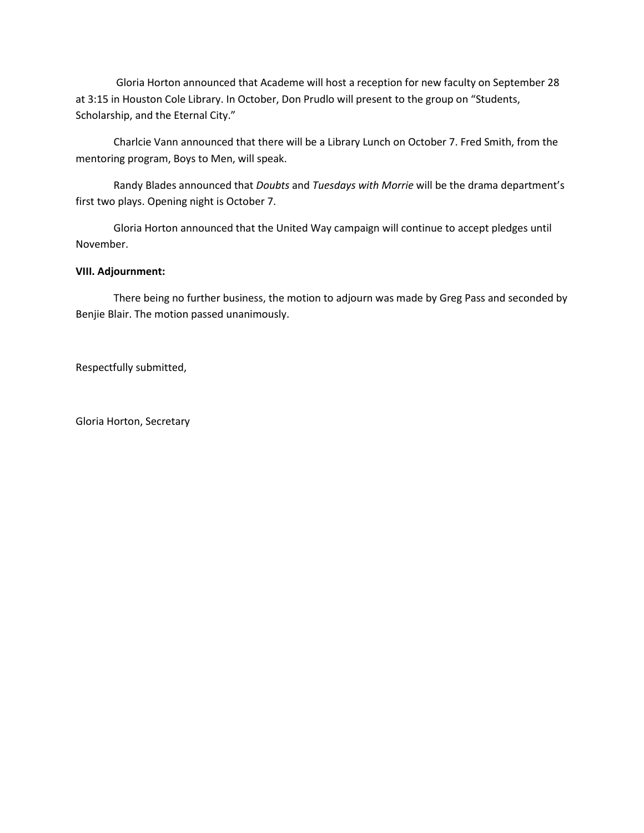Gloria Horton announced that Academe will host a reception for new faculty on September 28 at 3:15 in Houston Cole Library. In October, Don Prudlo will present to the group on "Students, Scholarship, and the Eternal City."

Charlcie Vann announced that there will be a Library Lunch on October 7. Fred Smith, from the mentoring program, Boys to Men, will speak.

Randy Blades announced that *Doubts* and *Tuesdays with Morrie* will be the drama department's first two plays. Opening night is October 7.

Gloria Horton announced that the United Way campaign will continue to accept pledges until November.

### **VIII. Adjournment:**

There being no further business, the motion to adjourn was made by Greg Pass and seconded by Benjie Blair. The motion passed unanimously.

Respectfully submitted,

Gloria Horton, Secretary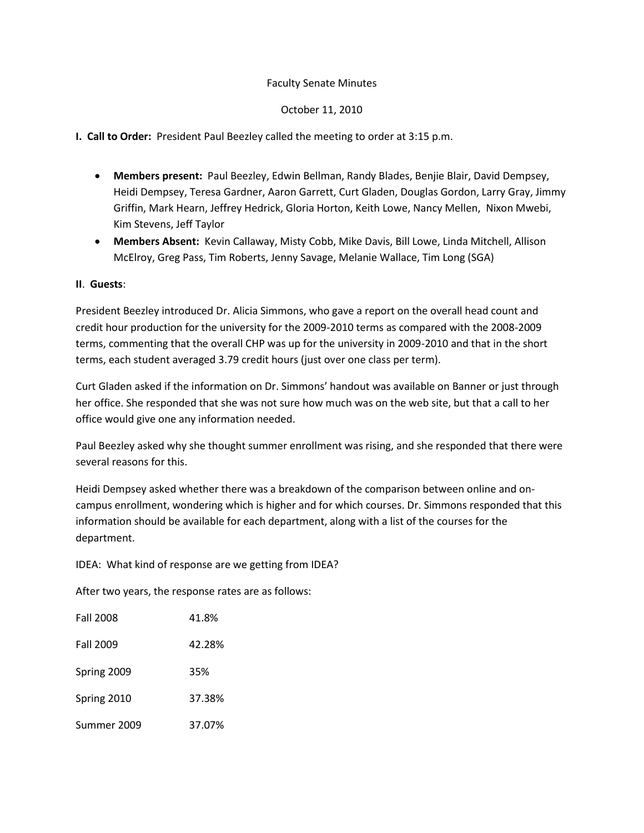### October 11, 2010

### **I. Call to Order:** President Paul Beezley called the meeting to order at 3:15 p.m.

- **Members present:** Paul Beezley, Edwin Bellman, Randy Blades, Benjie Blair, David Dempsey, Heidi Dempsey, Teresa Gardner, Aaron Garrett, Curt Gladen, Douglas Gordon, Larry Gray, Jimmy Griffin, Mark Hearn, Jeffrey Hedrick, Gloria Horton, Keith Lowe, Nancy Mellen, Nixon Mwebi, Kim Stevens, Jeff Taylor
- **Members Absent:** Kevin Callaway, Misty Cobb, Mike Davis, Bill Lowe, Linda Mitchell, Allison McElroy, Greg Pass, Tim Roberts, Jenny Savage, Melanie Wallace, Tim Long (SGA)

### **II**. **Guests**:

President Beezley introduced Dr. Alicia Simmons, who gave a report on the overall head count and credit hour production for the university for the 2009-2010 terms as compared with the 2008-2009 terms, commenting that the overall CHP was up for the university in 2009-2010 and that in the short terms, each student averaged 3.79 credit hours (just over one class per term).

Curt Gladen asked if the information on Dr. Simmons' handout was available on Banner or just through her office. She responded that she was not sure how much was on the web site, but that a call to her office would give one any information needed.

Paul Beezley asked why she thought summer enrollment was rising, and she responded that there were several reasons for this.

Heidi Dempsey asked whether there was a breakdown of the comparison between online and oncampus enrollment, wondering which is higher and for which courses. Dr. Simmons responded that this information should be available for each department, along with a list of the courses for the department.

IDEA: What kind of response are we getting from IDEA?

After two years, the response rates are as follows:

| <b>Fall 2008</b> | 41.8%  |
|------------------|--------|
| <b>Fall 2009</b> | 42.28% |
| Spring 2009      | 35%    |
| Spring 2010      | 37.38% |
| Summer 2009      | 37.07% |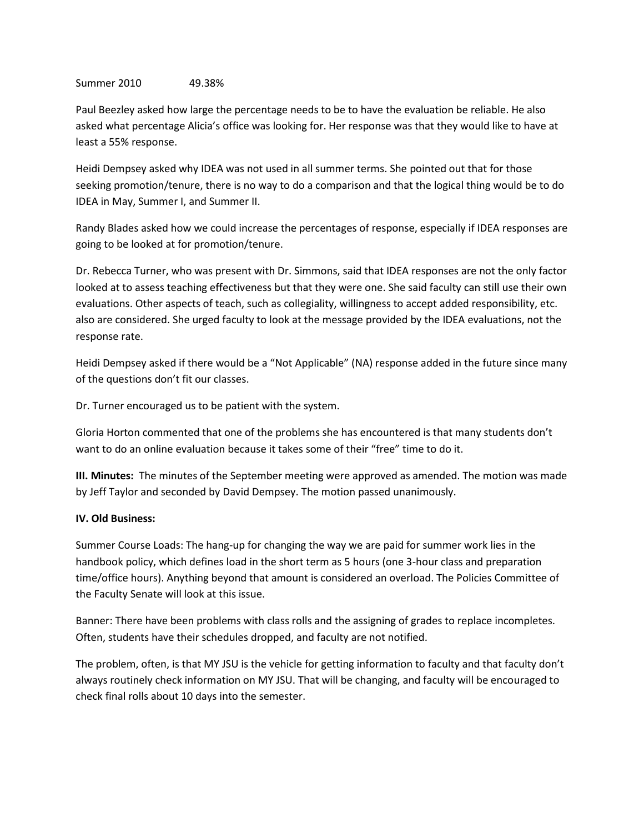#### Summer 2010 49.38%

Paul Beezley asked how large the percentage needs to be to have the evaluation be reliable. He also asked what percentage Alicia's office was looking for. Her response was that they would like to have at least a 55% response.

Heidi Dempsey asked why IDEA was not used in all summer terms. She pointed out that for those seeking promotion/tenure, there is no way to do a comparison and that the logical thing would be to do IDEA in May, Summer I, and Summer II.

Randy Blades asked how we could increase the percentages of response, especially if IDEA responses are going to be looked at for promotion/tenure.

Dr. Rebecca Turner, who was present with Dr. Simmons, said that IDEA responses are not the only factor looked at to assess teaching effectiveness but that they were one. She said faculty can still use their own evaluations. Other aspects of teach, such as collegiality, willingness to accept added responsibility, etc. also are considered. She urged faculty to look at the message provided by the IDEA evaluations, not the response rate.

Heidi Dempsey asked if there would be a "Not Applicable" (NA) response added in the future since many of the questions don't fit our classes.

Dr. Turner encouraged us to be patient with the system.

Gloria Horton commented that one of the problems she has encountered is that many students don't want to do an online evaluation because it takes some of their "free" time to do it.

**III. Minutes:** The minutes of the September meeting were approved as amended. The motion was made by Jeff Taylor and seconded by David Dempsey. The motion passed unanimously.

#### **IV. Old Business:**

Summer Course Loads: The hang-up for changing the way we are paid for summer work lies in the handbook policy, which defines load in the short term as 5 hours (one 3-hour class and preparation time/office hours). Anything beyond that amount is considered an overload. The Policies Committee of the Faculty Senate will look at this issue.

Banner: There have been problems with class rolls and the assigning of grades to replace incompletes. Often, students have their schedules dropped, and faculty are not notified.

The problem, often, is that MY JSU is the vehicle for getting information to faculty and that faculty don't always routinely check information on MY JSU. That will be changing, and faculty will be encouraged to check final rolls about 10 days into the semester.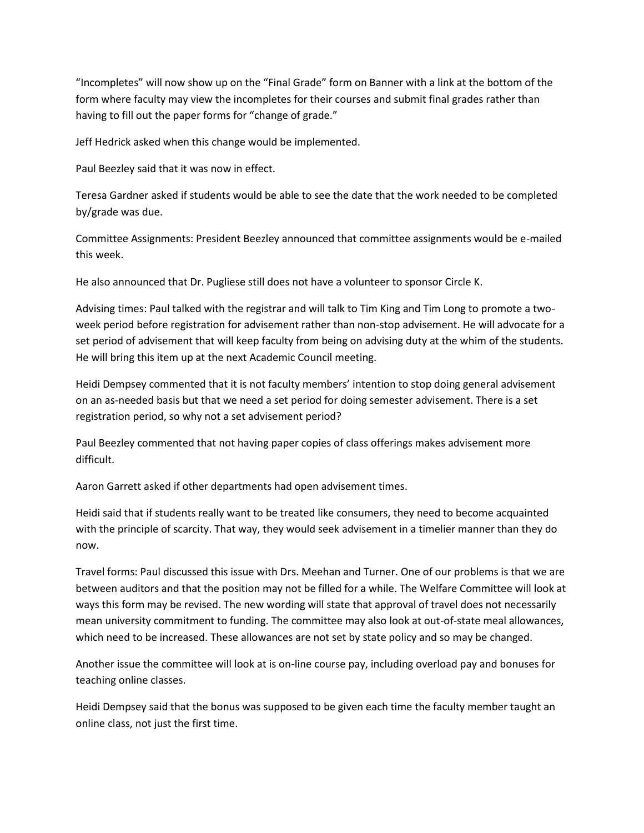"Incompletes" will now show up on the "Final Grade" form on Banner with a link at the bottom of the form where faculty may view the incompletes for their courses and submit final grades rather than having to fill out the paper forms for "change of grade."

Jeff Hedrick asked when this change would be implemented.

Paul Beezley said that it was now in effect.

Teresa Gardner asked if students would be able to see the date that the work needed to be completed by/grade was due.

Committee Assignments: President Beezley announced that committee assignments would be e-mailed this week.

He also announced that Dr. Pugliese still does not have a volunteer to sponsor Circle K.

Advising times: Paul talked with the registrar and will talk to Tim King and Tim Long to promote a twoweek period before registration for advisement rather than non-stop advisement. He will advocate for a set period of advisement that will keep faculty from being on advising duty at the whim of the students. He will bring this item up at the next Academic Council meeting.

Heidi Dempsey commented that it is not faculty members' intention to stop doing general advisement on an as-needed basis but that we need a set period for doing semester advisement. There is a set registration period, so why not a set advisement period?

Paul Beezley commented that not having paper copies of class offerings makes advisement more difficult.

Aaron Garrett asked if other departments had open advisement times.

Heidi said that if students really want to be treated like consumers, they need to become acquainted with the principle of scarcity. That way, they would seek advisement in a timelier manner than they do now.

Travel forms: Paul discussed this issue with Drs. Meehan and Turner. One of our problems is that we are between auditors and that the position may not be filled for a while. The Welfare Committee will look at ways this form may be revised. The new wording will state that approval of travel does not necessarily mean university commitment to funding. The committee may also look at out-of-state meal allowances, which need to be increased. These allowances are not set by state policy and so may be changed.

Another issue the committee will look at is on-line course pay, including overload pay and bonuses for teaching online classes.

Heidi Dempsey said that the bonus was supposed to be given each time the faculty member taught an online class, not just the first time.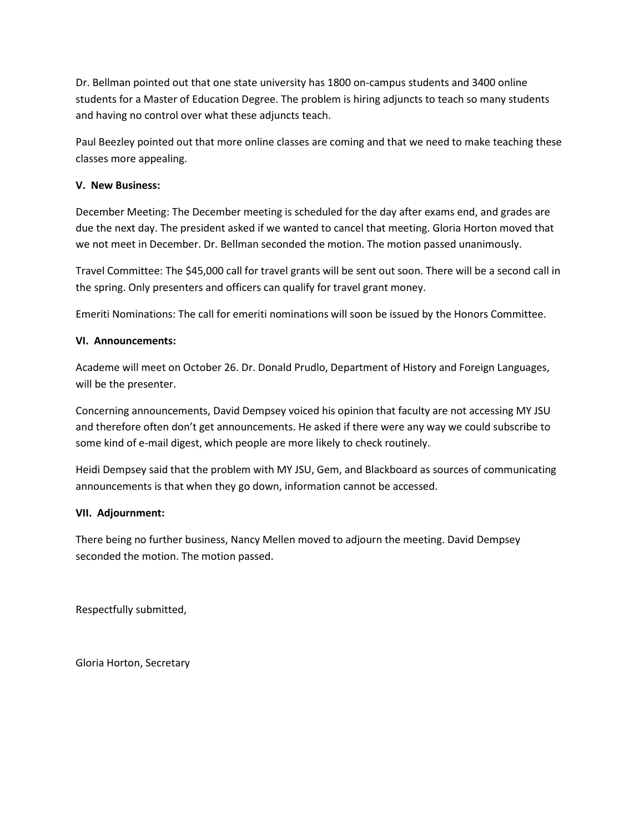Dr. Bellman pointed out that one state university has 1800 on-campus students and 3400 online students for a Master of Education Degree. The problem is hiring adjuncts to teach so many students and having no control over what these adjuncts teach.

Paul Beezley pointed out that more online classes are coming and that we need to make teaching these classes more appealing.

### **V. New Business:**

December Meeting: The December meeting is scheduled for the day after exams end, and grades are due the next day. The president asked if we wanted to cancel that meeting. Gloria Horton moved that we not meet in December. Dr. Bellman seconded the motion. The motion passed unanimously.

Travel Committee: The \$45,000 call for travel grants will be sent out soon. There will be a second call in the spring. Only presenters and officers can qualify for travel grant money.

Emeriti Nominations: The call for emeriti nominations will soon be issued by the Honors Committee.

### **VI. Announcements:**

Academe will meet on October 26. Dr. Donald Prudlo, Department of History and Foreign Languages, will be the presenter.

Concerning announcements, David Dempsey voiced his opinion that faculty are not accessing MY JSU and therefore often don't get announcements. He asked if there were any way we could subscribe to some kind of e-mail digest, which people are more likely to check routinely.

Heidi Dempsey said that the problem with MY JSU, Gem, and Blackboard as sources of communicating announcements is that when they go down, information cannot be accessed.

#### **VII. Adjournment:**

There being no further business, Nancy Mellen moved to adjourn the meeting. David Dempsey seconded the motion. The motion passed.

Respectfully submitted,

Gloria Horton, Secretary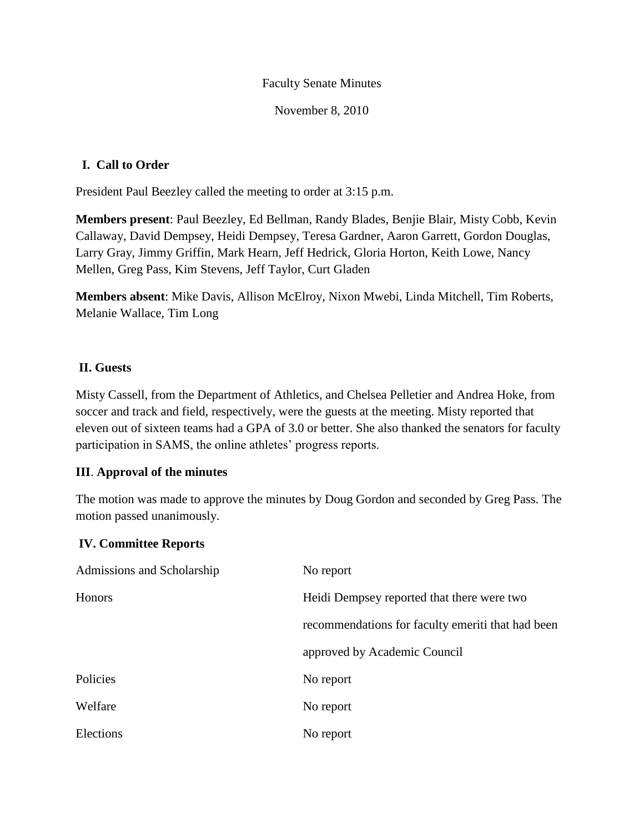November 8, 2010

# **I. Call to Order**

President Paul Beezley called the meeting to order at 3:15 p.m.

**Members present**: Paul Beezley, Ed Bellman, Randy Blades, Benjie Blair, Misty Cobb, Kevin Callaway, David Dempsey, Heidi Dempsey, Teresa Gardner, Aaron Garrett, Gordon Douglas, Larry Gray, Jimmy Griffin, Mark Hearn, Jeff Hedrick, Gloria Horton, Keith Lowe, Nancy Mellen, Greg Pass, Kim Stevens, Jeff Taylor, Curt Gladen

**Members absent**: Mike Davis, Allison McElroy, Nixon Mwebi, Linda Mitchell, Tim Roberts, Melanie Wallace, Tim Long

# **II. Guests**

Misty Cassell, from the Department of Athletics, and Chelsea Pelletier and Andrea Hoke, from soccer and track and field, respectively, were the guests at the meeting. Misty reported that eleven out of sixteen teams had a GPA of 3.0 or better. She also thanked the senators for faculty participation in SAMS, the online athletes' progress reports.

## **III**. **Approval of the minutes**

The motion was made to approve the minutes by Doug Gordon and seconded by Greg Pass. The motion passed unanimously.

## **IV. Committee Reports**

| Admissions and Scholarship | No report                                         |
|----------------------------|---------------------------------------------------|
| Honors                     | Heidi Dempsey reported that there were two        |
|                            | recommendations for faculty emeriti that had been |
|                            | approved by Academic Council                      |
| Policies                   | No report                                         |
| Welfare                    | No report                                         |
| Elections                  | No report                                         |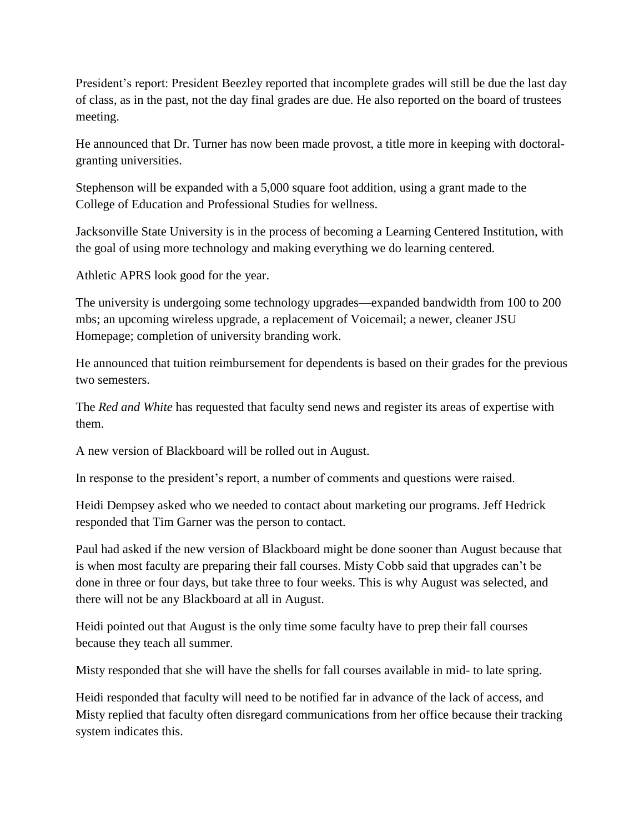President's report: President Beezley reported that incomplete grades will still be due the last day of class, as in the past, not the day final grades are due. He also reported on the board of trustees meeting.

He announced that Dr. Turner has now been made provost, a title more in keeping with doctoralgranting universities.

Stephenson will be expanded with a 5,000 square foot addition, using a grant made to the College of Education and Professional Studies for wellness.

Jacksonville State University is in the process of becoming a Learning Centered Institution, with the goal of using more technology and making everything we do learning centered.

Athletic APRS look good for the year.

The university is undergoing some technology upgrades—expanded bandwidth from 100 to 200 mbs; an upcoming wireless upgrade, a replacement of Voicemail; a newer, cleaner JSU Homepage; completion of university branding work.

He announced that tuition reimbursement for dependents is based on their grades for the previous two semesters.

The *Red and White* has requested that faculty send news and register its areas of expertise with them.

A new version of Blackboard will be rolled out in August.

In response to the president's report, a number of comments and questions were raised.

Heidi Dempsey asked who we needed to contact about marketing our programs. Jeff Hedrick responded that Tim Garner was the person to contact.

Paul had asked if the new version of Blackboard might be done sooner than August because that is when most faculty are preparing their fall courses. Misty Cobb said that upgrades can't be done in three or four days, but take three to four weeks. This is why August was selected, and there will not be any Blackboard at all in August.

Heidi pointed out that August is the only time some faculty have to prep their fall courses because they teach all summer.

Misty responded that she will have the shells for fall courses available in mid- to late spring.

Heidi responded that faculty will need to be notified far in advance of the lack of access, and Misty replied that faculty often disregard communications from her office because their tracking system indicates this.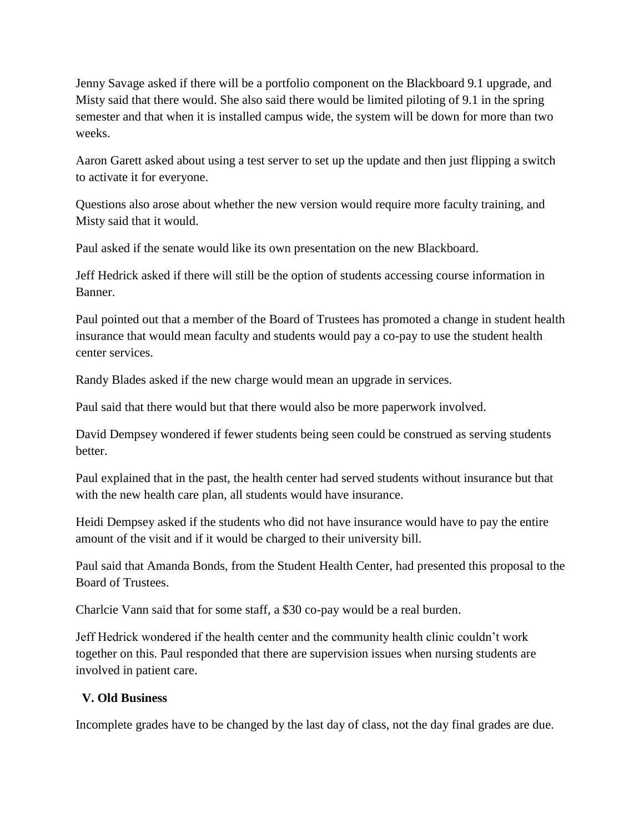Jenny Savage asked if there will be a portfolio component on the Blackboard 9.1 upgrade, and Misty said that there would. She also said there would be limited piloting of 9.1 in the spring semester and that when it is installed campus wide, the system will be down for more than two weeks.

Aaron Garett asked about using a test server to set up the update and then just flipping a switch to activate it for everyone.

Questions also arose about whether the new version would require more faculty training, and Misty said that it would.

Paul asked if the senate would like its own presentation on the new Blackboard.

Jeff Hedrick asked if there will still be the option of students accessing course information in Banner.

Paul pointed out that a member of the Board of Trustees has promoted a change in student health insurance that would mean faculty and students would pay a co-pay to use the student health center services.

Randy Blades asked if the new charge would mean an upgrade in services.

Paul said that there would but that there would also be more paperwork involved.

David Dempsey wondered if fewer students being seen could be construed as serving students better.

Paul explained that in the past, the health center had served students without insurance but that with the new health care plan, all students would have insurance.

Heidi Dempsey asked if the students who did not have insurance would have to pay the entire amount of the visit and if it would be charged to their university bill.

Paul said that Amanda Bonds, from the Student Health Center, had presented this proposal to the Board of Trustees.

Charlcie Vann said that for some staff, a \$30 co-pay would be a real burden.

Jeff Hedrick wondered if the health center and the community health clinic couldn't work together on this. Paul responded that there are supervision issues when nursing students are involved in patient care.

## **V. Old Business**

Incomplete grades have to be changed by the last day of class, not the day final grades are due.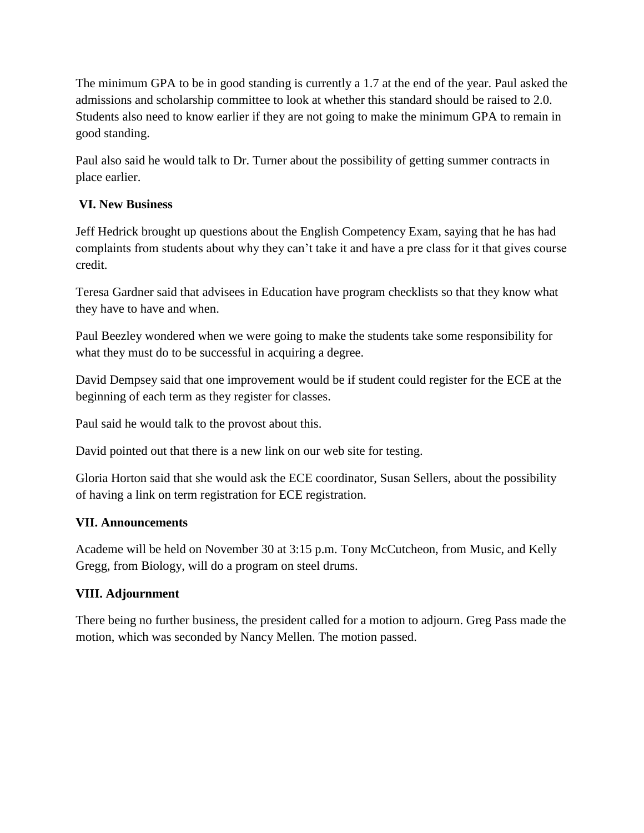The minimum GPA to be in good standing is currently a 1.7 at the end of the year. Paul asked the admissions and scholarship committee to look at whether this standard should be raised to 2.0. Students also need to know earlier if they are not going to make the minimum GPA to remain in good standing.

Paul also said he would talk to Dr. Turner about the possibility of getting summer contracts in place earlier.

# **VI. New Business**

Jeff Hedrick brought up questions about the English Competency Exam, saying that he has had complaints from students about why they can't take it and have a pre class for it that gives course credit.

Teresa Gardner said that advisees in Education have program checklists so that they know what they have to have and when.

Paul Beezley wondered when we were going to make the students take some responsibility for what they must do to be successful in acquiring a degree.

David Dempsey said that one improvement would be if student could register for the ECE at the beginning of each term as they register for classes.

Paul said he would talk to the provost about this.

David pointed out that there is a new link on our web site for testing.

Gloria Horton said that she would ask the ECE coordinator, Susan Sellers, about the possibility of having a link on term registration for ECE registration.

# **VII. Announcements**

Academe will be held on November 30 at 3:15 p.m. Tony McCutcheon, from Music, and Kelly Gregg, from Biology, will do a program on steel drums.

# **VIII. Adjournment**

There being no further business, the president called for a motion to adjourn. Greg Pass made the motion, which was seconded by Nancy Mellen. The motion passed.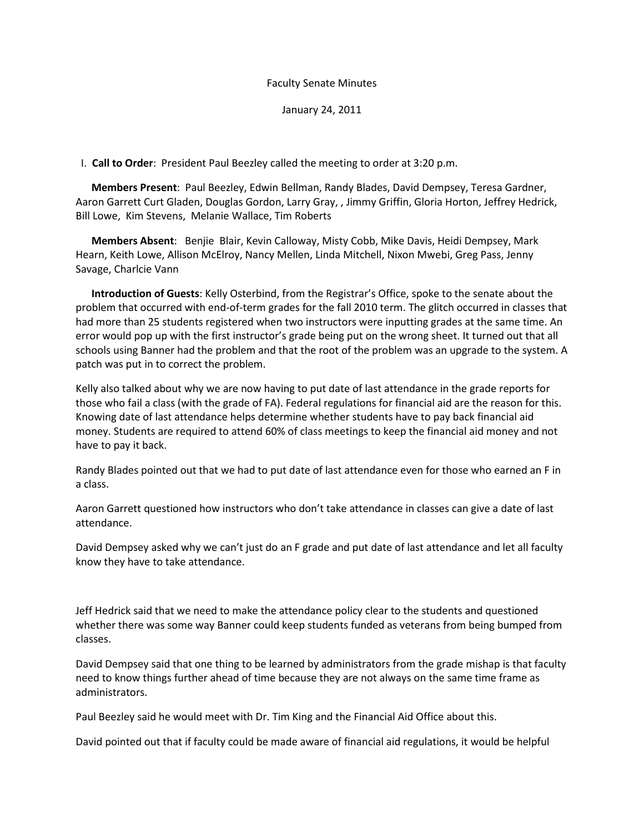January 24, 2011

I. **Call to Order**: President Paul Beezley called the meeting to order at 3:20 p.m.

 **Members Present**: Paul Beezley, Edwin Bellman, Randy Blades, David Dempsey, Teresa Gardner, Aaron Garrett Curt Gladen, Douglas Gordon, Larry Gray, , Jimmy Griffin, Gloria Horton, Jeffrey Hedrick, Bill Lowe, Kim Stevens, Melanie Wallace, Tim Roberts

 **Members Absent**: Benjie Blair, Kevin Calloway, Misty Cobb, Mike Davis, Heidi Dempsey, Mark Hearn, Keith Lowe, Allison McElroy, Nancy Mellen, Linda Mitchell, Nixon Mwebi, Greg Pass, Jenny Savage, Charlcie Vann

 **Introduction of Guests**: Kelly Osterbind, from the Registrar's Office, spoke to the senate about the problem that occurred with end-of-term grades for the fall 2010 term. The glitch occurred in classes that had more than 25 students registered when two instructors were inputting grades at the same time. An error would pop up with the first instructor's grade being put on the wrong sheet. It turned out that all schools using Banner had the problem and that the root of the problem was an upgrade to the system. A patch was put in to correct the problem.

Kelly also talked about why we are now having to put date of last attendance in the grade reports for those who fail a class (with the grade of FA). Federal regulations for financial aid are the reason for this. Knowing date of last attendance helps determine whether students have to pay back financial aid money. Students are required to attend 60% of class meetings to keep the financial aid money and not have to pay it back.

Randy Blades pointed out that we had to put date of last attendance even for those who earned an F in a class.

Aaron Garrett questioned how instructors who don't take attendance in classes can give a date of last attendance.

David Dempsey asked why we can't just do an F grade and put date of last attendance and let all faculty know they have to take attendance.

Jeff Hedrick said that we need to make the attendance policy clear to the students and questioned whether there was some way Banner could keep students funded as veterans from being bumped from classes.

David Dempsey said that one thing to be learned by administrators from the grade mishap is that faculty need to know things further ahead of time because they are not always on the same time frame as administrators.

Paul Beezley said he would meet with Dr. Tim King and the Financial Aid Office about this.

David pointed out that if faculty could be made aware of financial aid regulations, it would be helpful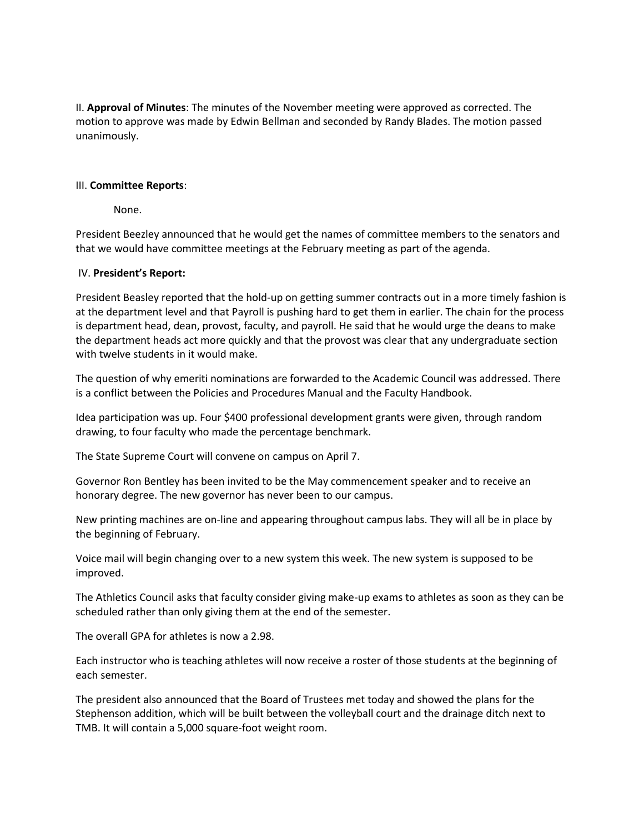II. **Approval of Minutes**: The minutes of the November meeting were approved as corrected. The motion to approve was made by Edwin Bellman and seconded by Randy Blades. The motion passed unanimously.

#### III. **Committee Reports**:

None.

President Beezley announced that he would get the names of committee members to the senators and that we would have committee meetings at the February meeting as part of the agenda.

#### IV. **President's Report:**

President Beasley reported that the hold-up on getting summer contracts out in a more timely fashion is at the department level and that Payroll is pushing hard to get them in earlier. The chain for the process is department head, dean, provost, faculty, and payroll. He said that he would urge the deans to make the department heads act more quickly and that the provost was clear that any undergraduate section with twelve students in it would make.

The question of why emeriti nominations are forwarded to the Academic Council was addressed. There is a conflict between the Policies and Procedures Manual and the Faculty Handbook.

Idea participation was up. Four \$400 professional development grants were given, through random drawing, to four faculty who made the percentage benchmark.

The State Supreme Court will convene on campus on April 7.

Governor Ron Bentley has been invited to be the May commencement speaker and to receive an honorary degree. The new governor has never been to our campus.

New printing machines are on-line and appearing throughout campus labs. They will all be in place by the beginning of February.

Voice mail will begin changing over to a new system this week. The new system is supposed to be improved.

The Athletics Council asks that faculty consider giving make-up exams to athletes as soon as they can be scheduled rather than only giving them at the end of the semester.

The overall GPA for athletes is now a 2.98.

Each instructor who is teaching athletes will now receive a roster of those students at the beginning of each semester.

The president also announced that the Board of Trustees met today and showed the plans for the Stephenson addition, which will be built between the volleyball court and the drainage ditch next to TMB. It will contain a 5,000 square-foot weight room.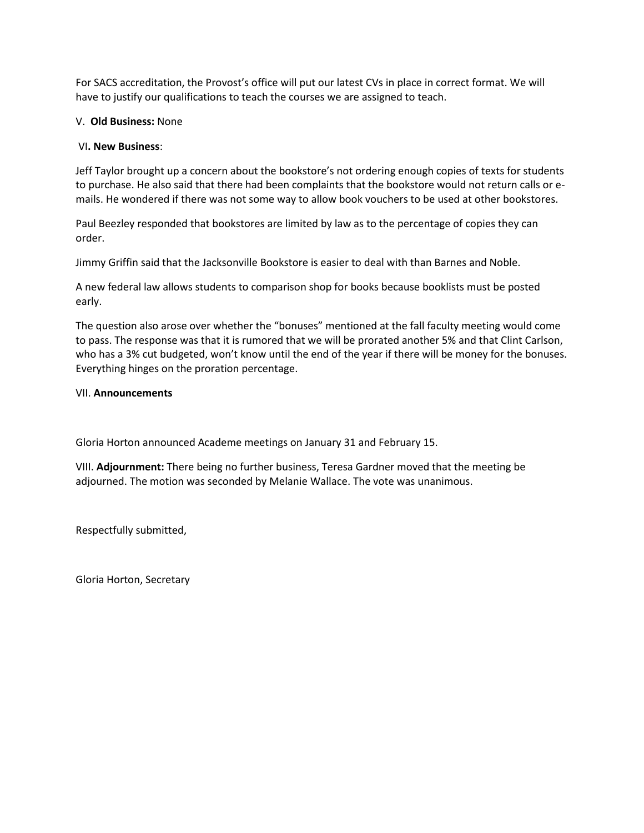For SACS accreditation, the Provost's office will put our latest CVs in place in correct format. We will have to justify our qualifications to teach the courses we are assigned to teach.

#### V. **Old Business:** None

#### VI**. New Business**:

Jeff Taylor brought up a concern about the bookstore's not ordering enough copies of texts for students to purchase. He also said that there had been complaints that the bookstore would not return calls or emails. He wondered if there was not some way to allow book vouchers to be used at other bookstores.

Paul Beezley responded that bookstores are limited by law as to the percentage of copies they can order.

Jimmy Griffin said that the Jacksonville Bookstore is easier to deal with than Barnes and Noble.

A new federal law allows students to comparison shop for books because booklists must be posted early.

The question also arose over whether the "bonuses" mentioned at the fall faculty meeting would come to pass. The response was that it is rumored that we will be prorated another 5% and that Clint Carlson, who has a 3% cut budgeted, won't know until the end of the year if there will be money for the bonuses. Everything hinges on the proration percentage.

#### VII. **Announcements**

Gloria Horton announced Academe meetings on January 31 and February 15.

VIII. **Adjournment:** There being no further business, Teresa Gardner moved that the meeting be adjourned. The motion was seconded by Melanie Wallace. The vote was unanimous.

Respectfully submitted,

Gloria Horton, Secretary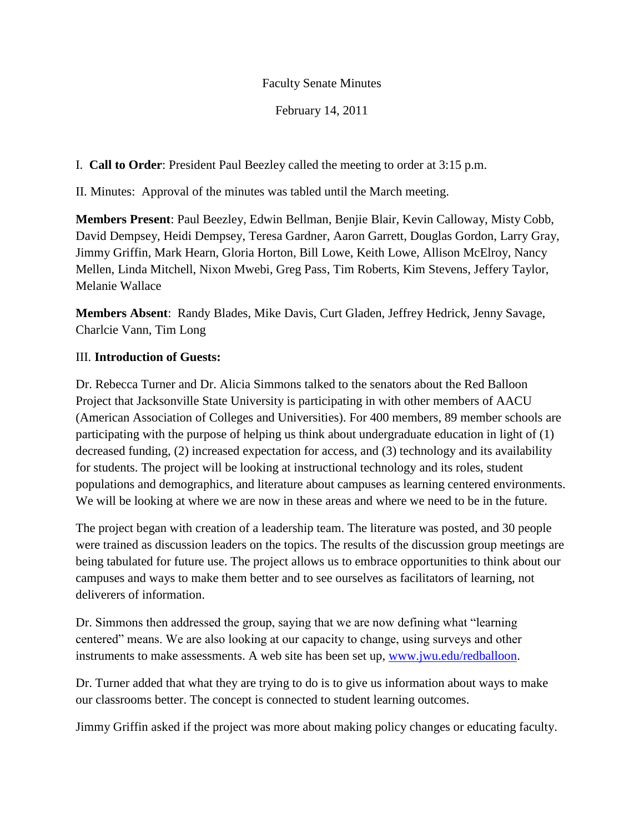February 14, 2011

I. **Call to Order**: President Paul Beezley called the meeting to order at 3:15 p.m.

II. Minutes: Approval of the minutes was tabled until the March meeting.

**Members Present**: Paul Beezley, Edwin Bellman, Benjie Blair, Kevin Calloway, Misty Cobb, David Dempsey, Heidi Dempsey, Teresa Gardner, Aaron Garrett, Douglas Gordon, Larry Gray, Jimmy Griffin, Mark Hearn, Gloria Horton, Bill Lowe, Keith Lowe, Allison McElroy, Nancy Mellen, Linda Mitchell, Nixon Mwebi, Greg Pass, Tim Roberts, Kim Stevens, Jeffery Taylor, Melanie Wallace

**Members Absent**: Randy Blades, Mike Davis, Curt Gladen, Jeffrey Hedrick, Jenny Savage, Charlcie Vann, Tim Long

# III. **Introduction of Guests:**

Dr. Rebecca Turner and Dr. Alicia Simmons talked to the senators about the Red Balloon Project that Jacksonville State University is participating in with other members of AACU (American Association of Colleges and Universities). For 400 members, 89 member schools are participating with the purpose of helping us think about undergraduate education in light of (1) decreased funding, (2) increased expectation for access, and (3) technology and its availability for students. The project will be looking at instructional technology and its roles, student populations and demographics, and literature about campuses as learning centered environments. We will be looking at where we are now in these areas and where we need to be in the future.

The project began with creation of a leadership team. The literature was posted, and 30 people were trained as discussion leaders on the topics. The results of the discussion group meetings are being tabulated for future use. The project allows us to embrace opportunities to think about our campuses and ways to make them better and to see ourselves as facilitators of learning, not deliverers of information.

Dr. Simmons then addressed the group, saying that we are now defining what "learning" centered‖ means. We are also looking at our capacity to change, using surveys and other instruments to make assessments. A web site has been set up, [www.jwu.edu/redballoon.](http://www.jwu.edu/redballoon)

Dr. Turner added that what they are trying to do is to give us information about ways to make our classrooms better. The concept is connected to student learning outcomes.

Jimmy Griffin asked if the project was more about making policy changes or educating faculty.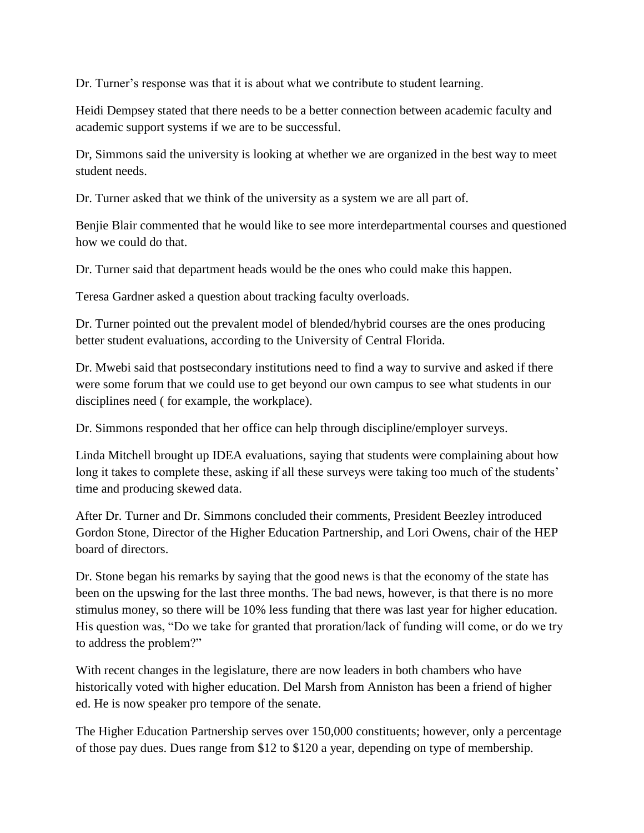Dr. Turner's response was that it is about what we contribute to student learning.

Heidi Dempsey stated that there needs to be a better connection between academic faculty and academic support systems if we are to be successful.

Dr, Simmons said the university is looking at whether we are organized in the best way to meet student needs.

Dr. Turner asked that we think of the university as a system we are all part of.

Benjie Blair commented that he would like to see more interdepartmental courses and questioned how we could do that.

Dr. Turner said that department heads would be the ones who could make this happen.

Teresa Gardner asked a question about tracking faculty overloads.

Dr. Turner pointed out the prevalent model of blended/hybrid courses are the ones producing better student evaluations, according to the University of Central Florida.

Dr. Mwebi said that postsecondary institutions need to find a way to survive and asked if there were some forum that we could use to get beyond our own campus to see what students in our disciplines need ( for example, the workplace).

Dr. Simmons responded that her office can help through discipline/employer surveys.

Linda Mitchell brought up IDEA evaluations, saying that students were complaining about how long it takes to complete these, asking if all these surveys were taking too much of the students' time and producing skewed data.

After Dr. Turner and Dr. Simmons concluded their comments, President Beezley introduced Gordon Stone, Director of the Higher Education Partnership, and Lori Owens, chair of the HEP board of directors.

Dr. Stone began his remarks by saying that the good news is that the economy of the state has been on the upswing for the last three months. The bad news, however, is that there is no more stimulus money, so there will be 10% less funding that there was last year for higher education. His question was, "Do we take for granted that proration/lack of funding will come, or do we try to address the problem?"

With recent changes in the legislature, there are now leaders in both chambers who have historically voted with higher education. Del Marsh from Anniston has been a friend of higher ed. He is now speaker pro tempore of the senate.

The Higher Education Partnership serves over 150,000 constituents; however, only a percentage of those pay dues. Dues range from \$12 to \$120 a year, depending on type of membership.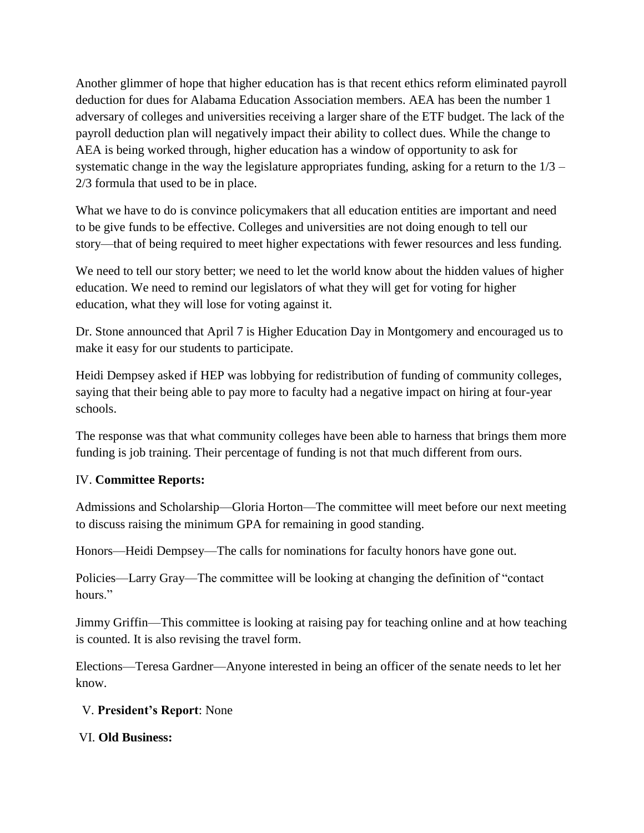Another glimmer of hope that higher education has is that recent ethics reform eliminated payroll deduction for dues for Alabama Education Association members. AEA has been the number 1 adversary of colleges and universities receiving a larger share of the ETF budget. The lack of the payroll deduction plan will negatively impact their ability to collect dues. While the change to AEA is being worked through, higher education has a window of opportunity to ask for systematic change in the way the legislature appropriates funding, asking for a return to the 1/3 – 2/3 formula that used to be in place.

What we have to do is convince policymakers that all education entities are important and need to be give funds to be effective. Colleges and universities are not doing enough to tell our story—that of being required to meet higher expectations with fewer resources and less funding.

We need to tell our story better; we need to let the world know about the hidden values of higher education. We need to remind our legislators of what they will get for voting for higher education, what they will lose for voting against it.

Dr. Stone announced that April 7 is Higher Education Day in Montgomery and encouraged us to make it easy for our students to participate.

Heidi Dempsey asked if HEP was lobbying for redistribution of funding of community colleges, saying that their being able to pay more to faculty had a negative impact on hiring at four-year schools.

The response was that what community colleges have been able to harness that brings them more funding is job training. Their percentage of funding is not that much different from ours.

# IV. **Committee Reports:**

Admissions and Scholarship—Gloria Horton—The committee will meet before our next meeting to discuss raising the minimum GPA for remaining in good standing.

Honors—Heidi Dempsey—The calls for nominations for faculty honors have gone out.

Policies—Larry Gray—The committee will be looking at changing the definition of "contact" hours."

Jimmy Griffin—This committee is looking at raising pay for teaching online and at how teaching is counted. It is also revising the travel form.

Elections—Teresa Gardner—Anyone interested in being an officer of the senate needs to let her know.

## V. **President's Report**: None

VI. **Old Business:**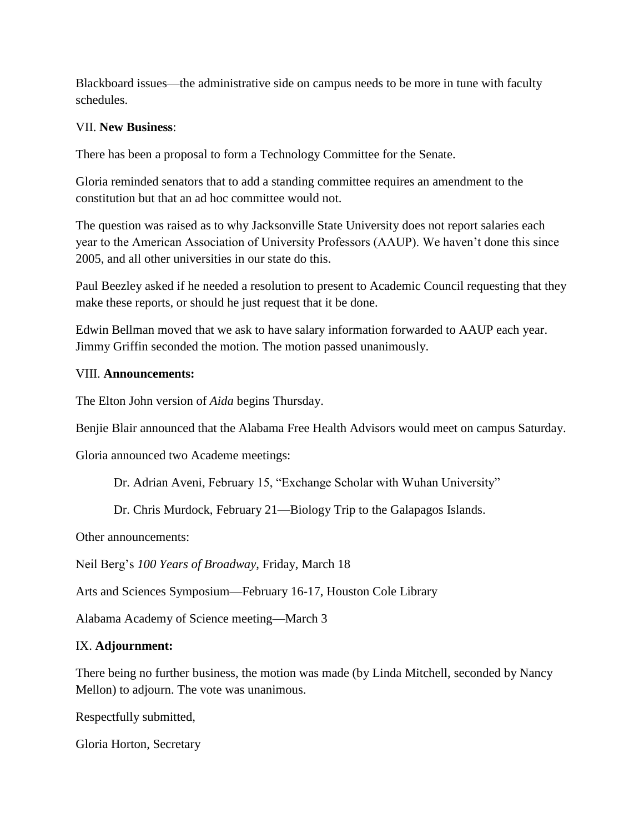Blackboard issues—the administrative side on campus needs to be more in tune with faculty schedules.

### VII. **New Business**:

There has been a proposal to form a Technology Committee for the Senate.

Gloria reminded senators that to add a standing committee requires an amendment to the constitution but that an ad hoc committee would not.

The question was raised as to why Jacksonville State University does not report salaries each year to the American Association of University Professors (AAUP). We haven't done this since 2005, and all other universities in our state do this.

Paul Beezley asked if he needed a resolution to present to Academic Council requesting that they make these reports, or should he just request that it be done.

Edwin Bellman moved that we ask to have salary information forwarded to AAUP each year. Jimmy Griffin seconded the motion. The motion passed unanimously.

### VIII. **Announcements:**

The Elton John version of *Aida* begins Thursday.

Benjie Blair announced that the Alabama Free Health Advisors would meet on campus Saturday.

Gloria announced two Academe meetings:

Dr. Adrian Aveni, February 15, "Exchange Scholar with Wuhan University"

Dr. Chris Murdock, February 21—Biology Trip to the Galapagos Islands.

Other announcements:

Neil Berg's *100 Years of Broadway*, Friday, March 18

Arts and Sciences Symposium—February 16-17, Houston Cole Library

Alabama Academy of Science meeting—March 3

### IX. **Adjournment:**

There being no further business, the motion was made (by Linda Mitchell, seconded by Nancy Mellon) to adjourn. The vote was unanimous.

Respectfully submitted,

Gloria Horton, Secretary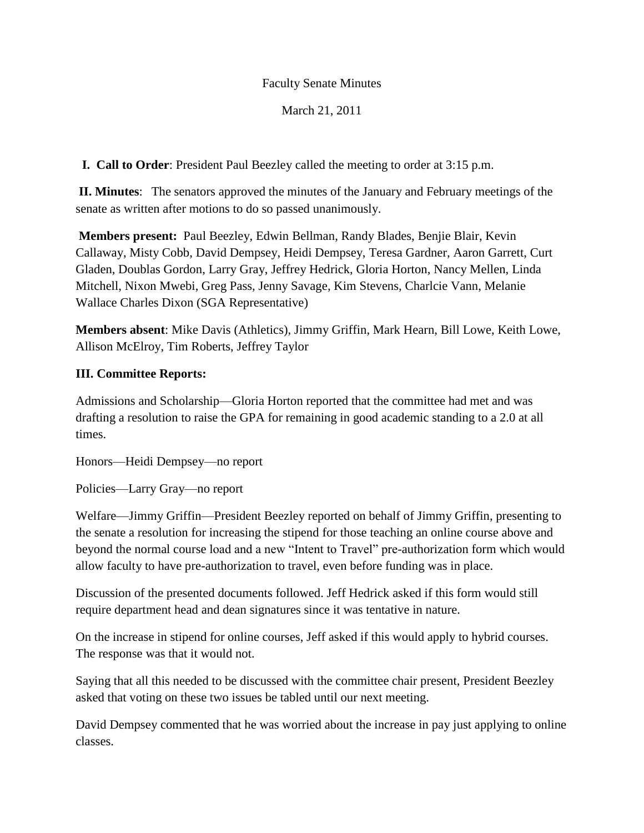## March 21, 2011

**I. Call to Order**: President Paul Beezley called the meeting to order at 3:15 p.m.

**II. Minutes**: The senators approved the minutes of the January and February meetings of the senate as written after motions to do so passed unanimously.

**Members present:** Paul Beezley, Edwin Bellman, Randy Blades, Benjie Blair, Kevin Callaway, Misty Cobb, David Dempsey, Heidi Dempsey, Teresa Gardner, Aaron Garrett, Curt Gladen, Doublas Gordon, Larry Gray, Jeffrey Hedrick, Gloria Horton, Nancy Mellen, Linda Mitchell, Nixon Mwebi, Greg Pass, Jenny Savage, Kim Stevens, Charlcie Vann, Melanie Wallace Charles Dixon (SGA Representative)

**Members absent**: Mike Davis (Athletics), Jimmy Griffin, Mark Hearn, Bill Lowe, Keith Lowe, Allison McElroy, Tim Roberts, Jeffrey Taylor

## **III. Committee Reports:**

Admissions and Scholarship—Gloria Horton reported that the committee had met and was drafting a resolution to raise the GPA for remaining in good academic standing to a 2.0 at all times.

Honors—Heidi Dempsey—no report

Policies—Larry Gray—no report

Welfare—Jimmy Griffin—President Beezley reported on behalf of Jimmy Griffin, presenting to the senate a resolution for increasing the stipend for those teaching an online course above and beyond the normal course load and a new "Intent to Travel" pre-authorization form which would allow faculty to have pre-authorization to travel, even before funding was in place.

Discussion of the presented documents followed. Jeff Hedrick asked if this form would still require department head and dean signatures since it was tentative in nature.

On the increase in stipend for online courses, Jeff asked if this would apply to hybrid courses. The response was that it would not.

Saying that all this needed to be discussed with the committee chair present, President Beezley asked that voting on these two issues be tabled until our next meeting.

David Dempsey commented that he was worried about the increase in pay just applying to online classes.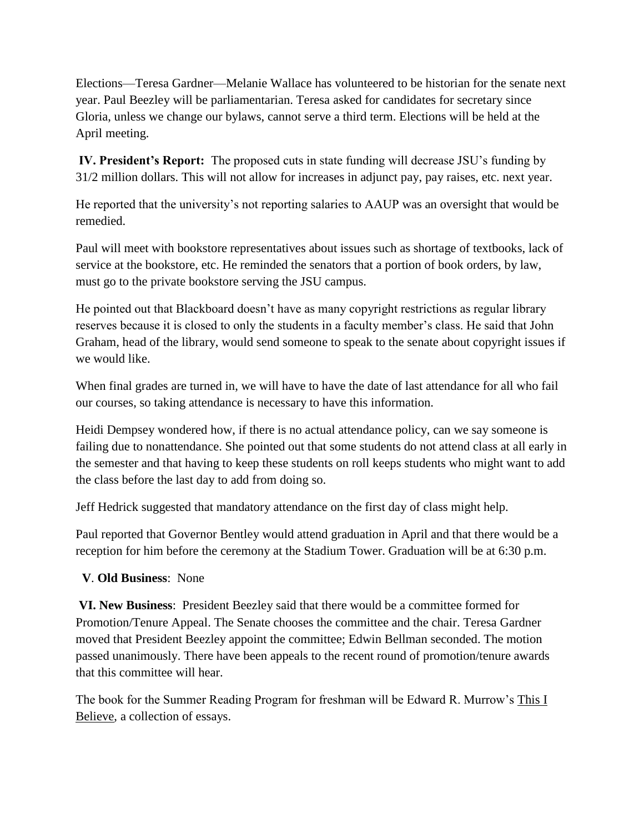Elections—Teresa Gardner—Melanie Wallace has volunteered to be historian for the senate next year. Paul Beezley will be parliamentarian. Teresa asked for candidates for secretary since Gloria, unless we change our bylaws, cannot serve a third term. Elections will be held at the April meeting.

**IV. President's Report:** The proposed cuts in state funding will decrease JSU's funding by 31/2 million dollars. This will not allow for increases in adjunct pay, pay raises, etc. next year.

He reported that the university's not reporting salaries to AAUP was an oversight that would be remedied.

Paul will meet with bookstore representatives about issues such as shortage of textbooks, lack of service at the bookstore, etc. He reminded the senators that a portion of book orders, by law, must go to the private bookstore serving the JSU campus.

He pointed out that Blackboard doesn't have as many copyright restrictions as regular library reserves because it is closed to only the students in a faculty member's class. He said that John Graham, head of the library, would send someone to speak to the senate about copyright issues if we would like.

When final grades are turned in, we will have to have the date of last attendance for all who fail our courses, so taking attendance is necessary to have this information.

Heidi Dempsey wondered how, if there is no actual attendance policy, can we say someone is failing due to nonattendance. She pointed out that some students do not attend class at all early in the semester and that having to keep these students on roll keeps students who might want to add the class before the last day to add from doing so.

Jeff Hedrick suggested that mandatory attendance on the first day of class might help.

Paul reported that Governor Bentley would attend graduation in April and that there would be a reception for him before the ceremony at the Stadium Tower. Graduation will be at 6:30 p.m.

# **V**. **Old Business**: None

**VI. New Business**: President Beezley said that there would be a committee formed for Promotion/Tenure Appeal. The Senate chooses the committee and the chair. Teresa Gardner moved that President Beezley appoint the committee; Edwin Bellman seconded. The motion passed unanimously. There have been appeals to the recent round of promotion/tenure awards that this committee will hear.

The book for the Summer Reading Program for freshman will be Edward R. Murrow's This I Believe, a collection of essays.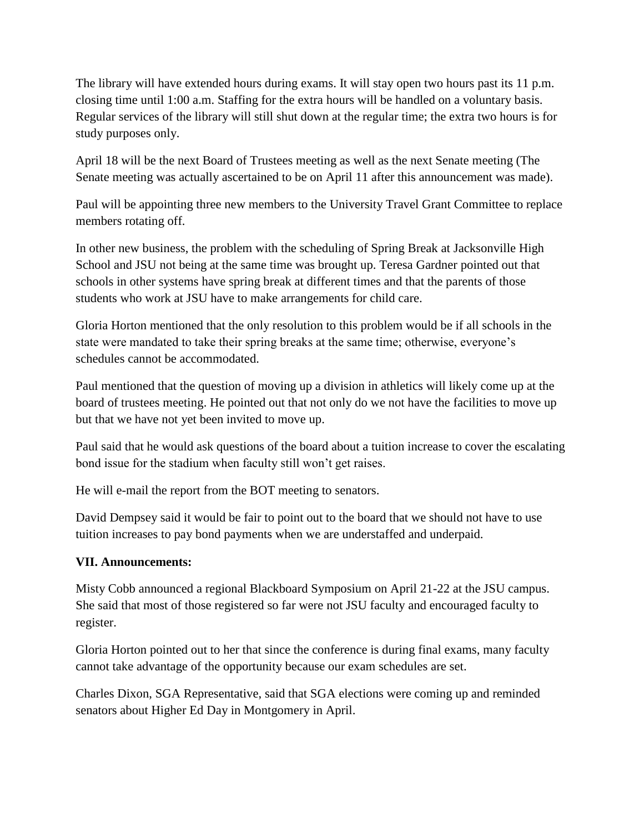The library will have extended hours during exams. It will stay open two hours past its 11 p.m. closing time until 1:00 a.m. Staffing for the extra hours will be handled on a voluntary basis. Regular services of the library will still shut down at the regular time; the extra two hours is for study purposes only.

April 18 will be the next Board of Trustees meeting as well as the next Senate meeting (The Senate meeting was actually ascertained to be on April 11 after this announcement was made).

Paul will be appointing three new members to the University Travel Grant Committee to replace members rotating off.

In other new business, the problem with the scheduling of Spring Break at Jacksonville High School and JSU not being at the same time was brought up. Teresa Gardner pointed out that schools in other systems have spring break at different times and that the parents of those students who work at JSU have to make arrangements for child care.

Gloria Horton mentioned that the only resolution to this problem would be if all schools in the state were mandated to take their spring breaks at the same time; otherwise, everyone's schedules cannot be accommodated.

Paul mentioned that the question of moving up a division in athletics will likely come up at the board of trustees meeting. He pointed out that not only do we not have the facilities to move up but that we have not yet been invited to move up.

Paul said that he would ask questions of the board about a tuition increase to cover the escalating bond issue for the stadium when faculty still won't get raises.

He will e-mail the report from the BOT meeting to senators.

David Dempsey said it would be fair to point out to the board that we should not have to use tuition increases to pay bond payments when we are understaffed and underpaid.

## **VII. Announcements:**

Misty Cobb announced a regional Blackboard Symposium on April 21-22 at the JSU campus. She said that most of those registered so far were not JSU faculty and encouraged faculty to register.

Gloria Horton pointed out to her that since the conference is during final exams, many faculty cannot take advantage of the opportunity because our exam schedules are set.

Charles Dixon, SGA Representative, said that SGA elections were coming up and reminded senators about Higher Ed Day in Montgomery in April.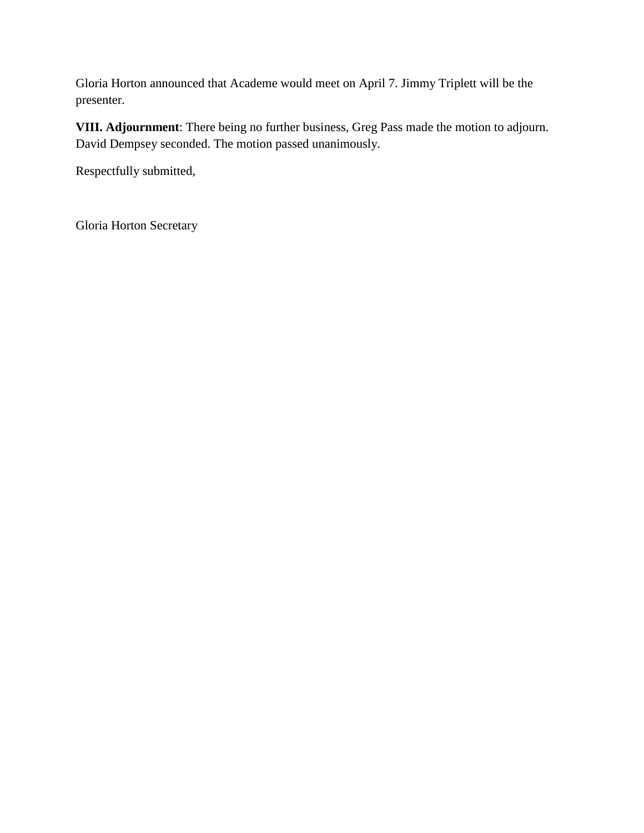Gloria Horton announced that Academe would meet on April 7. Jimmy Triplett will be the presenter.

**VIII. Adjournment**: There being no further business, Greg Pass made the motion to adjourn. David Dempsey seconded. The motion passed unanimously.

Respectfully submitted,

Gloria Horton Secretary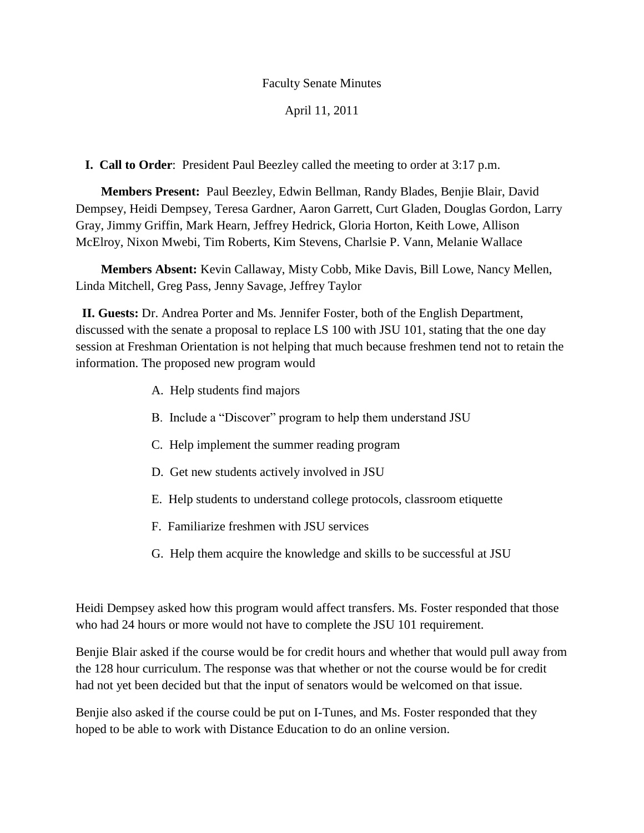### April 11, 2011

**I. Call to Order**: President Paul Beezley called the meeting to order at 3:17 p.m.

 **Members Present:** Paul Beezley, Edwin Bellman, Randy Blades, Benjie Blair, David Dempsey, Heidi Dempsey, Teresa Gardner, Aaron Garrett, Curt Gladen, Douglas Gordon, Larry Gray, Jimmy Griffin, Mark Hearn, Jeffrey Hedrick, Gloria Horton, Keith Lowe, Allison McElroy, Nixon Mwebi, Tim Roberts, Kim Stevens, Charlsie P. Vann, Melanie Wallace

 **Members Absent:** Kevin Callaway, Misty Cobb, Mike Davis, Bill Lowe, Nancy Mellen, Linda Mitchell, Greg Pass, Jenny Savage, Jeffrey Taylor

 **II. Guests:** Dr. Andrea Porter and Ms. Jennifer Foster, both of the English Department, discussed with the senate a proposal to replace LS 100 with JSU 101, stating that the one day session at Freshman Orientation is not helping that much because freshmen tend not to retain the information. The proposed new program would

- A. Help students find majors
- B. Include a "Discover" program to help them understand JSU
- C. Help implement the summer reading program
- D. Get new students actively involved in JSU
- E. Help students to understand college protocols, classroom etiquette
- F. Familiarize freshmen with JSU services
- G. Help them acquire the knowledge and skills to be successful at JSU

Heidi Dempsey asked how this program would affect transfers. Ms. Foster responded that those who had 24 hours or more would not have to complete the JSU 101 requirement.

Benjie Blair asked if the course would be for credit hours and whether that would pull away from the 128 hour curriculum. The response was that whether or not the course would be for credit had not yet been decided but that the input of senators would be welcomed on that issue.

Benjie also asked if the course could be put on I-Tunes, and Ms. Foster responded that they hoped to be able to work with Distance Education to do an online version.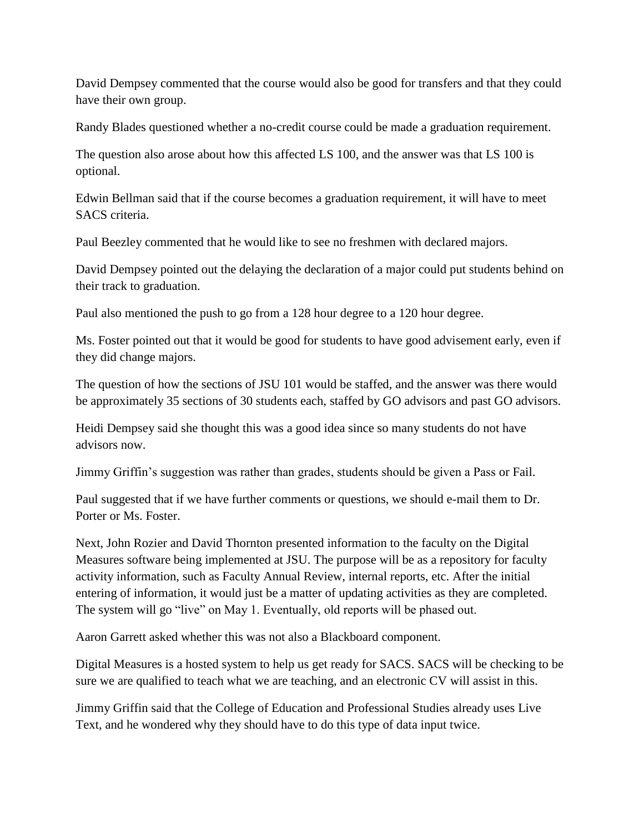David Dempsey commented that the course would also be good for transfers and that they could have their own group.

Randy Blades questioned whether a no-credit course could be made a graduation requirement.

The question also arose about how this affected LS 100, and the answer was that LS 100 is optional.

Edwin Bellman said that if the course becomes a graduation requirement, it will have to meet SACS criteria.

Paul Beezley commented that he would like to see no freshmen with declared majors.

David Dempsey pointed out the delaying the declaration of a major could put students behind on their track to graduation.

Paul also mentioned the push to go from a 128 hour degree to a 120 hour degree.

Ms. Foster pointed out that it would be good for students to have good advisement early, even if they did change majors.

The question of how the sections of JSU 101 would be staffed, and the answer was there would be approximately 35 sections of 30 students each, staffed by GO advisors and past GO advisors.

Heidi Dempsey said she thought this was a good idea since so many students do not have advisors now.

Jimmy Griffin's suggestion was rather than grades, students should be given a Pass or Fail.

Paul suggested that if we have further comments or questions, we should e-mail them to Dr. Porter or Ms. Foster.

Next, John Rozier and David Thornton presented information to the faculty on the Digital Measures software being implemented at JSU. The purpose will be as a repository for faculty activity information, such as Faculty Annual Review, internal reports, etc. After the initial entering of information, it would just be a matter of updating activities as they are completed. The system will go "live" on May 1. Eventually, old reports will be phased out.

Aaron Garrett asked whether this was not also a Blackboard component.

Digital Measures is a hosted system to help us get ready for SACS. SACS will be checking to be sure we are qualified to teach what we are teaching, and an electronic CV will assist in this.

Jimmy Griffin said that the College of Education and Professional Studies already uses Live Text, and he wondered why they should have to do this type of data input twice.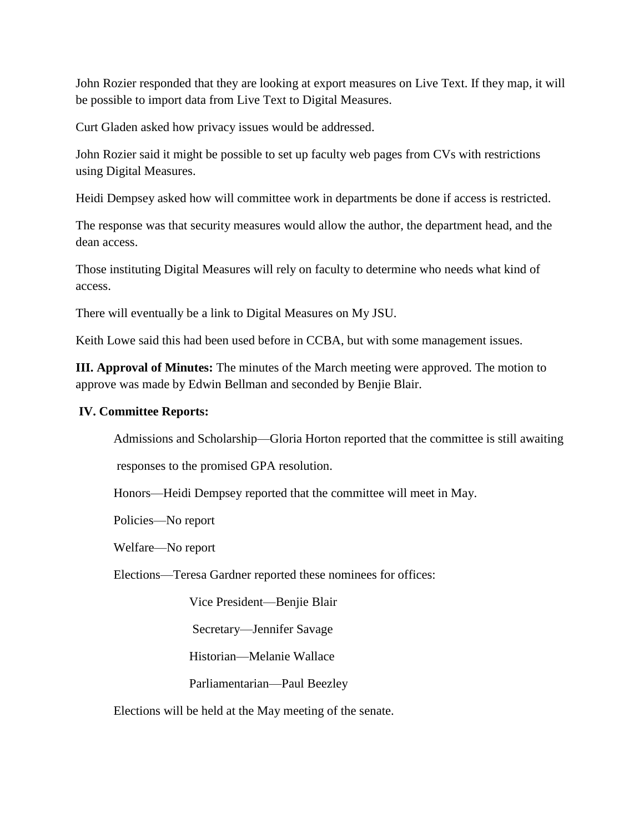John Rozier responded that they are looking at export measures on Live Text. If they map, it will be possible to import data from Live Text to Digital Measures.

Curt Gladen asked how privacy issues would be addressed.

John Rozier said it might be possible to set up faculty web pages from CVs with restrictions using Digital Measures.

Heidi Dempsey asked how will committee work in departments be done if access is restricted.

The response was that security measures would allow the author, the department head, and the dean access.

Those instituting Digital Measures will rely on faculty to determine who needs what kind of access.

There will eventually be a link to Digital Measures on My JSU.

Keith Lowe said this had been used before in CCBA, but with some management issues.

**III. Approval of Minutes:** The minutes of the March meeting were approved. The motion to approve was made by Edwin Bellman and seconded by Benjie Blair.

### **IV. Committee Reports:**

Admissions and Scholarship—Gloria Horton reported that the committee is still awaiting

responses to the promised GPA resolution.

Honors—Heidi Dempsey reported that the committee will meet in May.

Policies—No report

Welfare—No report

Elections—Teresa Gardner reported these nominees for offices:

Vice President—Benjie Blair

Secretary—Jennifer Savage

Historian—Melanie Wallace

Parliamentarian—Paul Beezley

Elections will be held at the May meeting of the senate.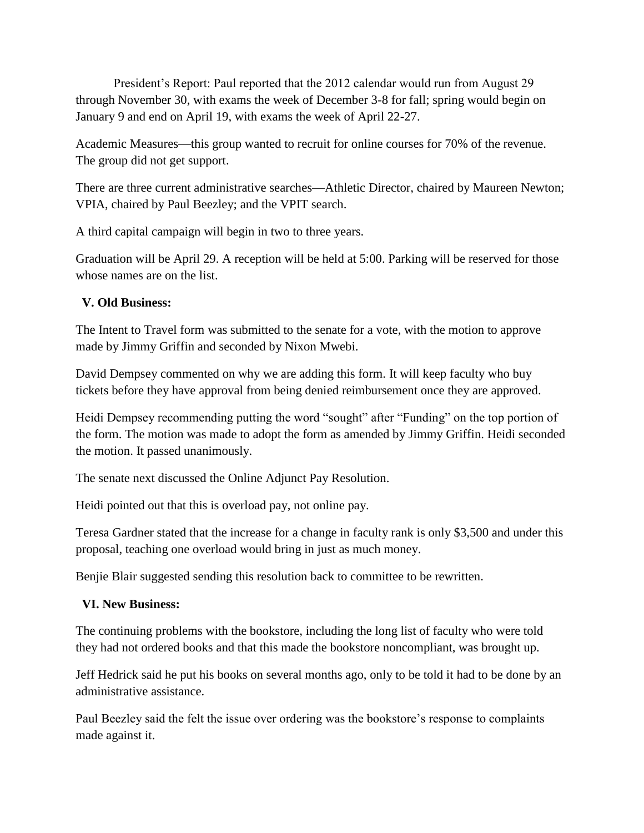President's Report: Paul reported that the 2012 calendar would run from August 29 through November 30, with exams the week of December 3-8 for fall; spring would begin on January 9 and end on April 19, with exams the week of April 22-27.

Academic Measures—this group wanted to recruit for online courses for 70% of the revenue. The group did not get support.

There are three current administrative searches—Athletic Director, chaired by Maureen Newton; VPIA, chaired by Paul Beezley; and the VPIT search.

A third capital campaign will begin in two to three years.

Graduation will be April 29. A reception will be held at 5:00. Parking will be reserved for those whose names are on the list.

# **V. Old Business:**

The Intent to Travel form was submitted to the senate for a vote, with the motion to approve made by Jimmy Griffin and seconded by Nixon Mwebi.

David Dempsey commented on why we are adding this form. It will keep faculty who buy tickets before they have approval from being denied reimbursement once they are approved.

Heidi Dempsey recommending putting the word "sought" after "Funding" on the top portion of the form. The motion was made to adopt the form as amended by Jimmy Griffin. Heidi seconded the motion. It passed unanimously.

The senate next discussed the Online Adjunct Pay Resolution.

Heidi pointed out that this is overload pay, not online pay.

Teresa Gardner stated that the increase for a change in faculty rank is only \$3,500 and under this proposal, teaching one overload would bring in just as much money.

Benjie Blair suggested sending this resolution back to committee to be rewritten.

## **VI. New Business:**

The continuing problems with the bookstore, including the long list of faculty who were told they had not ordered books and that this made the bookstore noncompliant, was brought up.

Jeff Hedrick said he put his books on several months ago, only to be told it had to be done by an administrative assistance.

Paul Beezley said the felt the issue over ordering was the bookstore's response to complaints made against it.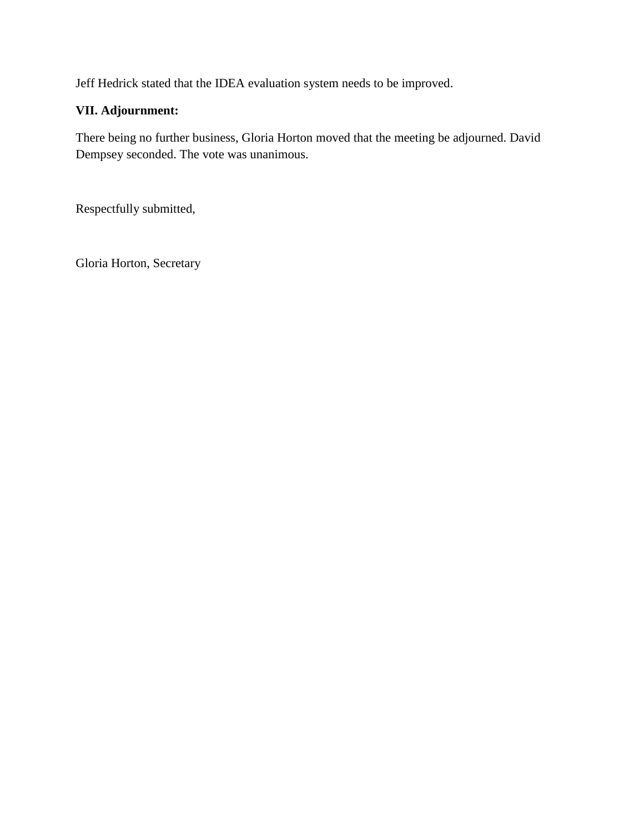Jeff Hedrick stated that the IDEA evaluation system needs to be improved.

# **VII. Adjournment:**

There being no further business, Gloria Horton moved that the meeting be adjourned. David Dempsey seconded. The vote was unanimous.

Respectfully submitted,

Gloria Horton, Secretary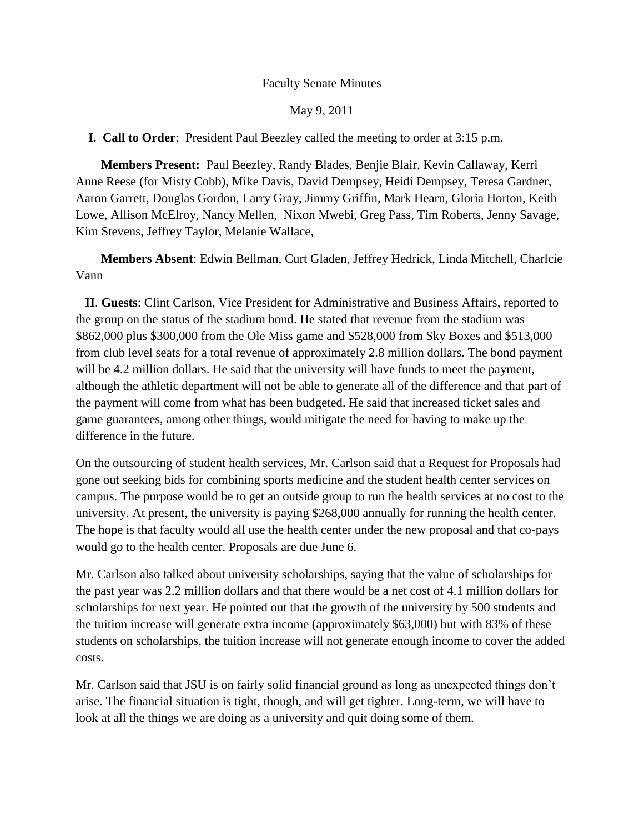### May 9, 2011

### **I. Call to Order**: President Paul Beezley called the meeting to order at 3:15 p.m.

 **Members Present:** Paul Beezley, Randy Blades, Benjie Blair, Kevin Callaway, Kerri Anne Reese (for Misty Cobb), Mike Davis, David Dempsey, Heidi Dempsey, Teresa Gardner, Aaron Garrett, Douglas Gordon, Larry Gray, Jimmy Griffin, Mark Hearn, Gloria Horton, Keith Lowe, Allison McElroy, Nancy Mellen, Nixon Mwebi, Greg Pass, Tim Roberts, Jenny Savage, Kim Stevens, Jeffrey Taylor, Melanie Wallace,

 **Members Absent**: Edwin Bellman, Curt Gladen, Jeffrey Hedrick, Linda Mitchell, Charlcie Vann

 **II**. **Guests**: Clint Carlson, Vice President for Administrative and Business Affairs, reported to the group on the status of the stadium bond. He stated that revenue from the stadium was \$862,000 plus \$300,000 from the Ole Miss game and \$528,000 from Sky Boxes and \$513,000 from club level seats for a total revenue of approximately 2.8 million dollars. The bond payment will be 4.2 million dollars. He said that the university will have funds to meet the payment, although the athletic department will not be able to generate all of the difference and that part of the payment will come from what has been budgeted. He said that increased ticket sales and game guarantees, among other things, would mitigate the need for having to make up the difference in the future.

On the outsourcing of student health services, Mr. Carlson said that a Request for Proposals had gone out seeking bids for combining sports medicine and the student health center services on campus. The purpose would be to get an outside group to run the health services at no cost to the university. At present, the university is paying \$268,000 annually for running the health center. The hope is that faculty would all use the health center under the new proposal and that co-pays would go to the health center. Proposals are due June 6.

Mr. Carlson also talked about university scholarships, saying that the value of scholarships for the past year was 2.2 million dollars and that there would be a net cost of 4.1 million dollars for scholarships for next year. He pointed out that the growth of the university by 500 students and the tuition increase will generate extra income (approximately \$63,000) but with 83% of these students on scholarships, the tuition increase will not generate enough income to cover the added costs.

Mr. Carlson said that JSU is on fairly solid financial ground as long as unexpected things don't arise. The financial situation is tight, though, and will get tighter. Long-term, we will have to look at all the things we are doing as a university and quit doing some of them.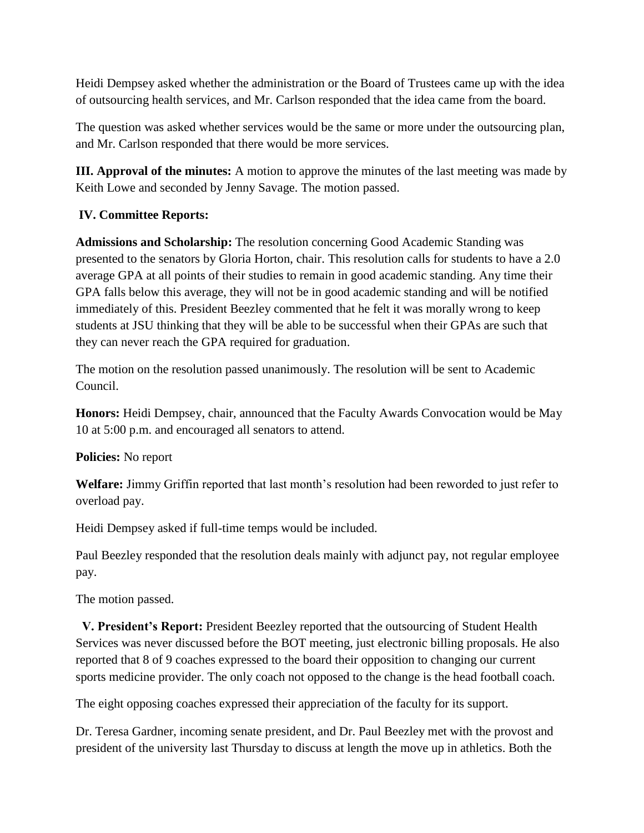Heidi Dempsey asked whether the administration or the Board of Trustees came up with the idea of outsourcing health services, and Mr. Carlson responded that the idea came from the board.

The question was asked whether services would be the same or more under the outsourcing plan, and Mr. Carlson responded that there would be more services.

**III. Approval of the minutes:** A motion to approve the minutes of the last meeting was made by Keith Lowe and seconded by Jenny Savage. The motion passed.

# **IV. Committee Reports:**

**Admissions and Scholarship:** The resolution concerning Good Academic Standing was presented to the senators by Gloria Horton, chair. This resolution calls for students to have a 2.0 average GPA at all points of their studies to remain in good academic standing. Any time their GPA falls below this average, they will not be in good academic standing and will be notified immediately of this. President Beezley commented that he felt it was morally wrong to keep students at JSU thinking that they will be able to be successful when their GPAs are such that they can never reach the GPA required for graduation.

The motion on the resolution passed unanimously. The resolution will be sent to Academic Council.

**Honors:** Heidi Dempsey, chair, announced that the Faculty Awards Convocation would be May 10 at 5:00 p.m. and encouraged all senators to attend.

**Policies:** No report

**Welfare:** Jimmy Griffin reported that last month's resolution had been reworded to just refer to overload pay.

Heidi Dempsey asked if full-time temps would be included.

Paul Beezley responded that the resolution deals mainly with adjunct pay, not regular employee pay.

The motion passed.

 **V. President's Report:** President Beezley reported that the outsourcing of Student Health Services was never discussed before the BOT meeting, just electronic billing proposals. He also reported that 8 of 9 coaches expressed to the board their opposition to changing our current sports medicine provider. The only coach not opposed to the change is the head football coach.

The eight opposing coaches expressed their appreciation of the faculty for its support.

Dr. Teresa Gardner, incoming senate president, and Dr. Paul Beezley met with the provost and president of the university last Thursday to discuss at length the move up in athletics. Both the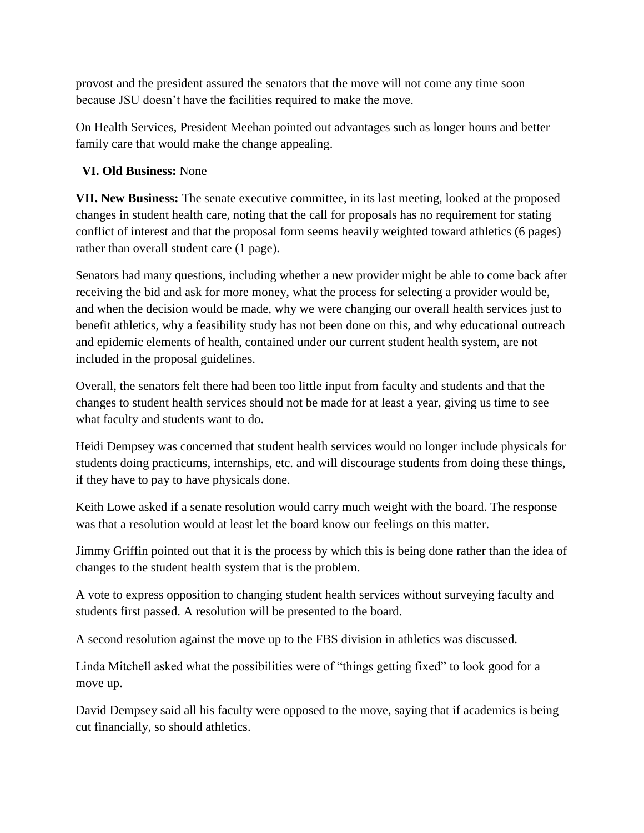provost and the president assured the senators that the move will not come any time soon because JSU doesn't have the facilities required to make the move.

On Health Services, President Meehan pointed out advantages such as longer hours and better family care that would make the change appealing.

# **VI. Old Business:** None

**VII. New Business:** The senate executive committee, in its last meeting, looked at the proposed changes in student health care, noting that the call for proposals has no requirement for stating conflict of interest and that the proposal form seems heavily weighted toward athletics (6 pages) rather than overall student care (1 page).

Senators had many questions, including whether a new provider might be able to come back after receiving the bid and ask for more money, what the process for selecting a provider would be, and when the decision would be made, why we were changing our overall health services just to benefit athletics, why a feasibility study has not been done on this, and why educational outreach and epidemic elements of health, contained under our current student health system, are not included in the proposal guidelines.

Overall, the senators felt there had been too little input from faculty and students and that the changes to student health services should not be made for at least a year, giving us time to see what faculty and students want to do.

Heidi Dempsey was concerned that student health services would no longer include physicals for students doing practicums, internships, etc. and will discourage students from doing these things, if they have to pay to have physicals done.

Keith Lowe asked if a senate resolution would carry much weight with the board. The response was that a resolution would at least let the board know our feelings on this matter.

Jimmy Griffin pointed out that it is the process by which this is being done rather than the idea of changes to the student health system that is the problem.

A vote to express opposition to changing student health services without surveying faculty and students first passed. A resolution will be presented to the board.

A second resolution against the move up to the FBS division in athletics was discussed.

Linda Mitchell asked what the possibilities were of "things getting fixed" to look good for a move up.

David Dempsey said all his faculty were opposed to the move, saying that if academics is being cut financially, so should athletics.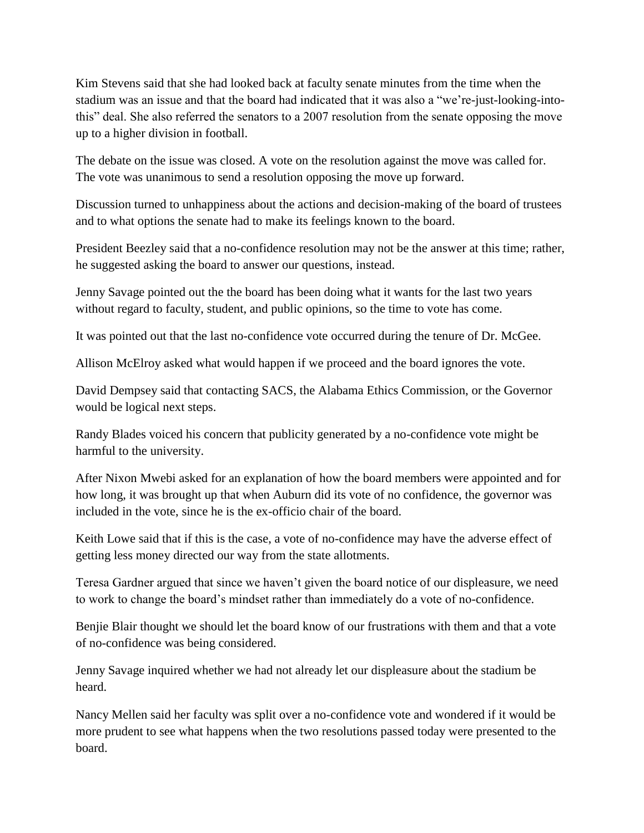Kim Stevens said that she had looked back at faculty senate minutes from the time when the stadium was an issue and that the board had indicated that it was also a "we're-just-looking-intothis" deal. She also referred the senators to a 2007 resolution from the senate opposing the move up to a higher division in football.

The debate on the issue was closed. A vote on the resolution against the move was called for. The vote was unanimous to send a resolution opposing the move up forward.

Discussion turned to unhappiness about the actions and decision-making of the board of trustees and to what options the senate had to make its feelings known to the board.

President Beezley said that a no-confidence resolution may not be the answer at this time; rather, he suggested asking the board to answer our questions, instead.

Jenny Savage pointed out the the board has been doing what it wants for the last two years without regard to faculty, student, and public opinions, so the time to vote has come.

It was pointed out that the last no-confidence vote occurred during the tenure of Dr. McGee.

Allison McElroy asked what would happen if we proceed and the board ignores the vote.

David Dempsey said that contacting SACS, the Alabama Ethics Commission, or the Governor would be logical next steps.

Randy Blades voiced his concern that publicity generated by a no-confidence vote might be harmful to the university.

After Nixon Mwebi asked for an explanation of how the board members were appointed and for how long, it was brought up that when Auburn did its vote of no confidence, the governor was included in the vote, since he is the ex-officio chair of the board.

Keith Lowe said that if this is the case, a vote of no-confidence may have the adverse effect of getting less money directed our way from the state allotments.

Teresa Gardner argued that since we haven't given the board notice of our displeasure, we need to work to change the board's mindset rather than immediately do a vote of no-confidence.

Benjie Blair thought we should let the board know of our frustrations with them and that a vote of no-confidence was being considered.

Jenny Savage inquired whether we had not already let our displeasure about the stadium be heard.

Nancy Mellen said her faculty was split over a no-confidence vote and wondered if it would be more prudent to see what happens when the two resolutions passed today were presented to the board.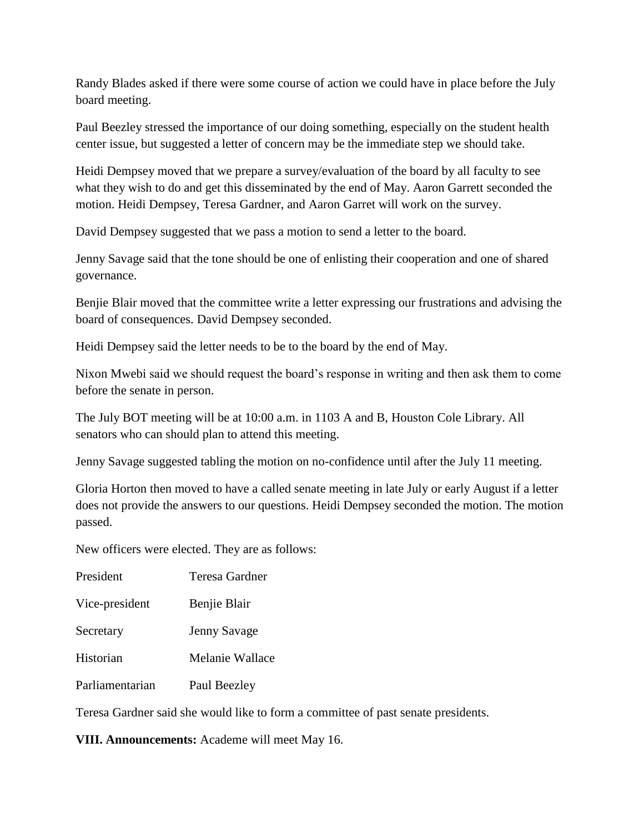Randy Blades asked if there were some course of action we could have in place before the July board meeting.

Paul Beezley stressed the importance of our doing something, especially on the student health center issue, but suggested a letter of concern may be the immediate step we should take.

Heidi Dempsey moved that we prepare a survey/evaluation of the board by all faculty to see what they wish to do and get this disseminated by the end of May. Aaron Garrett seconded the motion. Heidi Dempsey, Teresa Gardner, and Aaron Garret will work on the survey.

David Dempsey suggested that we pass a motion to send a letter to the board.

Jenny Savage said that the tone should be one of enlisting their cooperation and one of shared governance.

Benjie Blair moved that the committee write a letter expressing our frustrations and advising the board of consequences. David Dempsey seconded.

Heidi Dempsey said the letter needs to be to the board by the end of May.

Nixon Mwebi said we should request the board's response in writing and then ask them to come before the senate in person.

The July BOT meeting will be at 10:00 a.m. in 1103 A and B, Houston Cole Library. All senators who can should plan to attend this meeting.

Jenny Savage suggested tabling the motion on no-confidence until after the July 11 meeting.

Gloria Horton then moved to have a called senate meeting in late July or early August if a letter does not provide the answers to our questions. Heidi Dempsey seconded the motion. The motion passed.

New officers were elected. They are as follows:

President Teresa Gardner

Vice-president Benjie Blair

Secretary Jenny Savage

Historian Melanie Wallace

Parliamentarian Paul Beezley

Teresa Gardner said she would like to form a committee of past senate presidents.

**VIII. Announcements:** Academe will meet May 16.